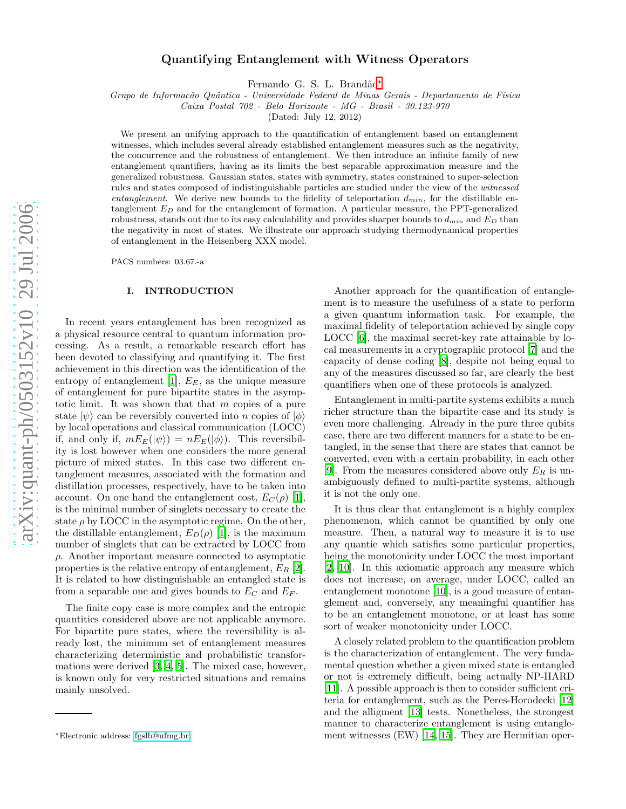# Quantifying Entanglement with Witness Operators

Fernando G. S. L. Brandão<sup>[∗](#page-0-0)</sup>

Grupo de Informacão Quântica - Universidade Federal de Minas Gerais - Departamento de Física

Caixa Postal 702 - Belo Horizonte - MG - Brasil - 30.123-970

(Dated: July 12, 2012)

We present an unifying approach to the quantification of entanglement based on entanglement witnesses, which includes several already established entanglement measures such as the negativity, the concurrence and the robustness of entanglement. We then introduce an infinite family of new entanglement quantifiers, having as its limits the best separable approximation measure and the generalized robustness. Gaussian states, states with symmetry, states constrained to super-selection rules and states composed of indistinguishable particles are studied under the view of the witnessed entanglement. We derive new bounds to the fidelity of teleportation  $d_{min}$ , for the distillable entanglement  $E_D$  and for the entanglement of formation. A particular measure, the PPT-generalized robustness, stands out due to its easy calculability and provides sharper bounds to  $d_{min}$  and  $E_D$  than the negativity in most of states. We illustrate our approach studying thermodynamical properties of entanglement in the Heisenberg XXX model.

PACS numbers: 03.67.-a

#### I. INTRODUCTION

In recent years entanglement has been recognized as a physical resource central to quantum information processing. As a result, a remarkable research effort has been devoted to classifying and quantifying it. The first achievement in this direction was the identification of the entropy of entanglement [\[1\]](#page-14-0),  $E<sub>E</sub>$ , as the unique measure of entanglement for pure bipartite states in the asymptotic limit. It was shown that that  $m$  copies of a pure state  $|\psi\rangle$  can be reversibly converted into *n* copies of  $|\phi\rangle$ by local operations and classical communication (LOCC) if, and only if,  $mE_E(|\psi\rangle) = nE_E(|\phi\rangle)$ . This reversibility is lost however when one considers the more general picture of mixed states. In this case two different entanglement measures, associated with the formation and distillation processes, respectively, have to be taken into account. On one hand the entanglement cost,  $E_C(\rho)$  [\[1\]](#page-14-0), is the minimal number of singlets necessary to create the state  $\rho$  by LOCC in the asymptotic regime. On the other, the distillable entanglement,  $E_D(\rho)$  [\[1\]](#page-14-0), is the maximum number of singlets that can be extracted by LOCC from  $\rho$ . Another important measure connected to asymptotic properties is the relative entropy of entanglement,  $E_R$  [\[2\]](#page-14-1). It is related to how distinguishable an entangled state is from a separable one and gives bounds to  $E_C$  and  $E_F$ .

The finite copy case is more complex and the entropic quantities considered above are not applicable anymore. For bipartite pure states, where the reversibility is already lost, the minimum set of entanglement measures characterizing deterministic and probabilistic transfor mations were derived [\[3,](#page-14-2) [4,](#page-14-3) [5](#page-14-4)]. The mixed case, however, is known only for very restricted situations and remains mainly unsolved.

Another approach for the quantification of entanglement is to measure the usefulness of a state to perform a given quantum information task. For example, the maximal fidelity of teleportation achieved by single copy LOCC [\[6\]](#page-14-5), the maximal secret-key rate attainable by local measurements in a cryptographic protocol [\[7\]](#page-14-6) and the capacity of dense coding [\[8\]](#page-14-7), despite not being equal to any of the measures discussed so far, are clearly the best quantifiers when one of these protocols is analyzed.

Entanglement in multi-partite systems exhibits a much richer structure than the bipartite case and its study is even more challenging. Already in the pure three qubits case, there are two different manners for a state to be entangled, in the sense that there are states that cannot be converted, even with a certain probability, in each other [\[9\]](#page-14-8). From the measures considered above only  $E_R$  is unambiguously defined to multi-partite systems, although it is not the only one.

It is thus clear that entanglement is a highly complex phenomenon, which cannot be quantified by only one measure. Then, a natural way to measure it is to use any quantie which satisfies some particular properties, being the monotonicity under LOCC the most important [\[2,](#page-14-1) [10\]](#page-14-9). In this axiomatic approach any measure which does not increase, on average, under LOCC, called an entanglement monotone [\[10](#page-14-9)], is a good measure of entanglement and, conversely, any meaningful quantifier has to be an entanglement monotone, or at least has some sort of weaker monotonicity under LOCC.

A closely related problem to the quantification problem is the characterization of entanglement. The very fundamental question whether a given mixed state is entangled or not is extremely difficult, being actually NP-HARD [\[11\]](#page-14-10). A possible approach is then to consider sufficient criteria for entanglement, such as the Peres-Horodecki [\[12](#page-14-11)] and the alligment [\[13](#page-14-12)] tests. Nonetheless, the strongest manner to characterize entanglement is using entanglement witnesses (EW) [\[14](#page-14-13), [15](#page-14-14)]. They are Hermitian oper-

<span id="page-0-0"></span><sup>∗</sup>Electronic address: [fgslb@ufmg.br](mailto:fgslb@ufmg.br)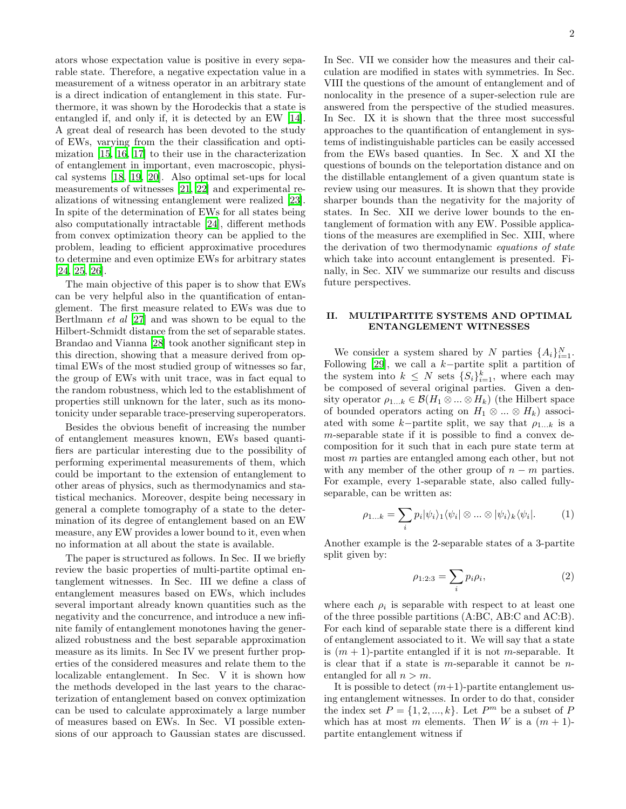ators whose expectation value is positive in every separable state. Therefore, a negative expectation value in a measurement of a witness operator in an arbitrary state is a direct indication of entanglement in this state. Furthermore, it was shown by the Horodeckis that a state is entangled if, and only if, it is detected by an EW [\[14\]](#page-14-13). A great deal of research has been devoted to the study of EWs, varying from the their classification and optimization [\[15,](#page-14-14) [16](#page-14-15), [17\]](#page-14-16) to their use in the characterization of entanglement in important, even macroscopic, physical systems [\[18,](#page-14-17) [19,](#page-14-18) [20](#page-14-19)]. Also optimal set-ups for local measurements of witnesses [\[21](#page-14-20), [22](#page-14-21)] and experimental realizations of witnessing entanglement were realized [\[23\]](#page-14-22). In spite of the determination of EWs for all states being also computationally intractable [\[24\]](#page-14-23), different methods from convex optimization theory can be applied to the problem, leading to efficient approximative procedures to determine and even optimize EWs for arbitrary states [\[24,](#page-14-23) [25,](#page-14-24) [26\]](#page-14-25).

The main objective of this paper is to show that EWs can be very helpful also in the quantification of entanglement. The first measure related to EWs was due to Bertlmann et al [\[27\]](#page-14-26) and was shown to be equal to the Hilbert-Schmidt distance from the set of separable states. Brandao and Vianna [\[28\]](#page-14-27) took another significant step in this direction, showing that a measure derived from optimal EWs of the most studied group of witnesses so far, the group of EWs with unit trace, was in fact equal to the random robustness, which led to the establishment of properties still unknown for the later, such as its monotonicity under separable trace-preserving superoperators.

Besides the obvious benefit of increasing the number of entanglement measures known, EWs based quantifiers are particular interesting due to the possibility of performing experimental measurements of them, which could be important to the extension of entanglement to other areas of physics, such as thermodynamics and statistical mechanics. Moreover, despite being necessary in general a complete tomography of a state to the determination of its degree of entanglement based on an EW measure, any EW provides a lower bound to it, even when no information at all about the state is available.

The paper is structured as follows. In Sec. II we briefly review the basic properties of multi-partite optimal entanglement witnesses. In Sec. III we define a class of entanglement measures based on EWs, which includes several important already known quantities such as the negativity and the concurrence, and introduce a new infinite family of entanglement monotones having the generalized robustness and the best separable approximation measure as its limits. In Sec IV we present further properties of the considered measures and relate them to the localizable entanglement. In Sec. V it is shown how the methods developed in the last years to the characterization of entanglement based on convex optimization can be used to calculate approximately a large number of measures based on EWs. In Sec. VI possible extensions of our approach to Gaussian states are discussed.

In Sec. VII we consider how the measures and their calculation are modified in states with symmetries. In Sec. VIII the questions of the amount of entanglement and of nonlocality in the presence of a super-selection rule are answered from the perspective of the studied measures. In Sec. IX it is shown that the three most successful approaches to the quantification of entanglement in systems of indistinguishable particles can be easily accessed from the EWs based quanties. In Sec. X and XI the questions of bounds on the teleportation distance and on the distillable entanglement of a given quantum state is review using our measures. It is shown that they provide sharper bounds than the negativity for the majority of states. In Sec. XII we derive lower bounds to the entanglement of formation with any EW. Possible applications of the measures are exemplified in Sec. XIII, where the derivation of two thermodynamic equations of state which take into account entanglement is presented. Finally, in Sec. XIV we summarize our results and discuss future perspectives.

## II. MULTIPARTITE SYSTEMS AND OPTIMAL ENTANGLEMENT WITNESSES

We consider a system shared by N parties  $\{A_i\}_{i=1}^N$ . Following [\[29\]](#page-14-28), we call a  $k$ −partite split a partition of the system into  $k \leq N$  sets  $\{S_i\}_{i=1}^k$ , where each may be composed of several original parties. Given a density operator  $\rho_{1...k} \in \mathcal{B}(H_1 \otimes ... \otimes H_k)$  (the Hilbert space of bounded operators acting on  $H_1 \otimes ... \otimes H_k$ ) associated with some k–partite split, we say that  $\rho_{1...k}$  is a m-separable state if it is possible to find a convex decomposition for it such that in each pure state term at most m parties are entangled among each other, but not with any member of the other group of  $n - m$  parties. For example, every 1-separable state, also called fullyseparable, can be written as:

$$
\rho_{1...k} = \sum_{i} p_i |\psi_i\rangle_1 \langle \psi_i | \otimes ... \otimes |\psi_i\rangle_k \langle \psi_i |.
$$
 (1)

Another example is the 2-separable states of a 3-partite split given by:

$$
\rho_{1:2:3} = \sum_{i} p_i \rho_i,\tag{2}
$$

where each  $\rho_i$  is separable with respect to at least one of the three possible partitions (A:BC, AB:C and AC:B). For each kind of separable state there is a different kind of entanglement associated to it. We will say that a state is  $(m + 1)$ -partite entangled if it is not *m*-separable. It is clear that if a state is  $m$ -separable it cannot be  $n$ entangled for all  $n > m$ .

It is possible to detect  $(m+1)$ -partite entanglement using entanglement witnesses. In order to do that, consider the index set  $P = \{1, 2, ..., k\}$ . Let  $P^m$  be a subset of P which has at most m elements. Then W is a  $(m + 1)$ partite entanglement witness if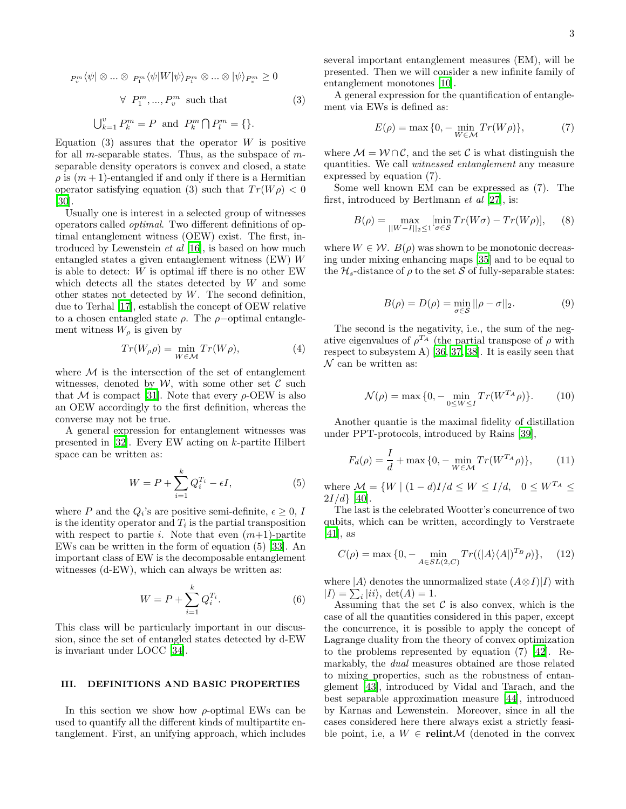$$
P_v^m \langle \psi | \otimes \dots \otimes P_1^m \langle \psi | W | \psi \rangle_{P_1^m} \otimes \dots \otimes | \psi \rangle_{P_v^m} \ge 0
$$
  

$$
\forall P_1^m, \dots, P_v^m \text{ such that } \tag{3}
$$
  

$$
\bigcup_{k=1}^v P_k^m = P \text{ and } P_k^m \cap P_l^m = \{\}.
$$

Equation (3) assures that the operator  $W$  is positive for all *m*-separable states. Thus, as the subspace of  $m$ separable density operators is convex and closed, a state  $\rho$  is  $(m+1)$ -entangled if and only if there is a Hermitian operator satisfying equation (3) such that  $Tr(W\rho) < 0$ [\[30\]](#page-14-29).

Usually one is interest in a selected group of witnesses operators called optimal. Two different definitions of optimal entanglement witness (OEW) exist. The first, introduced by Lewenstein et al [\[16](#page-14-15)], is based on how much entangled states a given entanglement witness (EW) W is able to detect: W is optimal iff there is no other EW which detects all the states detected by W and some other states not detected by W. The second definition, due to Terhal [\[17](#page-14-16)], establish the concept of OEW relative to a chosen entangled state  $\rho$ . The  $\rho$ -optimal entanglement witness  $W_{\rho}$  is given by

$$
Tr(W_{\rho}\rho) = \min_{W \in \mathcal{M}} Tr(W\rho), \tag{4}
$$

where  $\mathcal M$  is the intersection of the set of entanglement witnesses, denoted by  $W$ , with some other set  $\mathcal C$  such that M is compact [\[31\]](#page-14-30). Note that every  $\rho$ -OEW is also an OEW accordingly to the first definition, whereas the converse may not be true.

A general expression for entanglement witnesses was presented in [\[32](#page-14-31)]. Every EW acting on k-partite Hilbert space can be written as:

$$
W = P + \sum_{i=1}^{k} Q_i^{T_i} - \epsilon I,\tag{5}
$$

where P and the  $Q_i$ 's are positive semi-definite,  $\epsilon \geq 0$ , I is the identity operator and  $T_i$  is the partial transposition with respect to partie *i*. Note that even  $(m+1)$ -partite EWs can be written in the form of equation (5) [\[33](#page-14-32)]. An important class of EW is the decomposable entanglement witnesses (d-EW), which can always be written as:

$$
W = P + \sum_{i=1}^{k} Q_i^{T_i}.
$$
 (6)

This class will be particularly important in our discussion, since the set of entangled states detected by d-EW is invariant under LOCC [\[34\]](#page-14-33).

### III. DEFINITIONS AND BASIC PROPERTIES

In this section we show how  $\rho$ -optimal EWs can be used to quantify all the different kinds of multipartite entanglement. First, an unifying approach, which includes

several important entanglement measures (EM), will be presented. Then we will consider a new infinite family of entanglement monotones [\[10](#page-14-9)].

A general expression for the quantification of entanglement via EWs is defined as:

$$
E(\rho) = \max\{0, -\min_{W \in \mathcal{M}} Tr(W\rho)\},\tag{7}
$$

where  $\mathcal{M} = \mathcal{W} \cap \mathcal{C}$ , and the set C is what distinguish the quantities. We call witnessed entanglement any measure expressed by equation (7).

Some well known EM can be expressed as (7). The first, introduced by Bertlmann et al [\[27\]](#page-14-26), is:

$$
B(\rho) = \max_{\|W-I\|_2 \le 1} \left[ \min_{\sigma \in \mathcal{S}} Tr(W\sigma) - Tr(W\rho) \right],\tag{8}
$$

where  $W \in \mathcal{W}$ .  $B(\rho)$  was shown to be monotonic decreasing under mixing enhancing maps [\[35](#page-14-34)] and to be equal to the  $\mathcal{H}_s$ -distance of  $\rho$  to the set S of fully-separable states:

$$
B(\rho) = D(\rho) = \min_{\sigma \in \mathcal{S}} ||\rho - \sigma||_2.
$$
 (9)

The second is the negativity, i.e., the sum of the negative eigenvalues of  $\rho^{T_A}$  (the partial transpose of  $\rho$  with respect to subsystem A) [\[36,](#page-14-35) [37,](#page-14-36) [38\]](#page-14-37). It is easily seen that  $\mathcal N$  can be written as:

$$
\mathcal{N}(\rho) = \max\{0, -\min_{0 \le W \le I} Tr(W^{T_A}\rho)\}.
$$
 (10)

Another quantie is the maximal fidelity of distillation under PPT-protocols, introduced by Rains [\[39](#page-14-38)],

$$
F_d(\rho) = \frac{I}{d} + \max\{0, -\min_{W \in \mathcal{M}} Tr(W^{T_A}\rho)\},\qquad(11)
$$

where  $\mathcal{M} = \{W \mid (1 - d)I/d \leq W \leq I/d, \ 0 \leq W^{T_A} \leq$  $2I/d$  [\[40](#page-14-39)].

The last is the celebrated Wootter's concurrence of two qubits, which can be written, accordingly to Verstraete [\[41\]](#page-14-40), as

$$
C(\rho) = \max\{0, -\min_{A \in SL(2, C)} Tr((|A\rangle\langle A|)^{T_B}\rho)\},\quad(12)
$$

where  $|A\rangle$  denotes the unnormalized state  $(A \otimes I)|I\rangle$  with  $|I\rangle = \sum_i |ii\rangle$ , det $(A) = 1$ .

Assuming that the set  $\mathcal C$  is also convex, which is the case of all the quantities considered in this paper, except the concurrence, it is possible to apply the concept of Lagrange duality from the theory of convex optimization to the problems represented by equation (7) [\[42\]](#page-14-41). Remarkably, the dual measures obtained are those related to mixing properties, such as the robustness of entanglement [\[43\]](#page-14-42), introduced by Vidal and Tarach, and the best separable approximation measure [\[44](#page-14-43)], introduced by Karnas and Lewenstein. Moreover, since in all the cases considered here there always exist a strictly feasible point, i.e, a  $W \in \text{relint}\mathcal{M}$  (denoted in the convex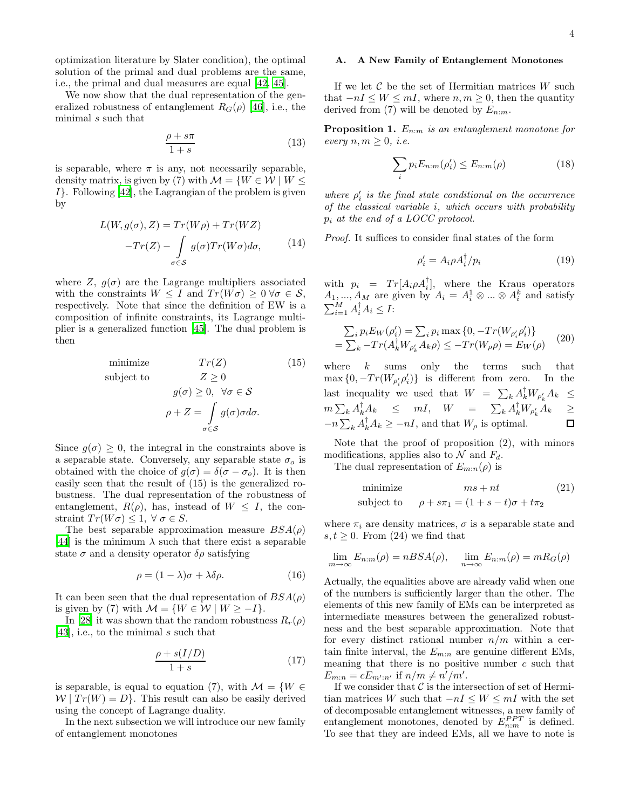optimization literature by Slater condition), the optimal solution of the primal and dual problems are the same, i.e., the primal and dual measures are equal [\[42,](#page-14-41) [45\]](#page-14-44).

We now show that the dual representation of the generalized robustness of entanglement  $R_G(\rho)$  [\[46\]](#page-14-45), i.e., the minimal s such that

$$
\frac{\rho + s\pi}{1 + s} \tag{13}
$$

is separable, where  $\pi$  is any, not necessarily separable, density matrix, is given by (7) with  $\mathcal{M} = \{W \in \mathcal{W} \mid W \leq \}$  $I$ . Following [\[42\]](#page-14-41), the Lagrangian of the problem is given by

$$
L(W, g(\sigma), Z) = Tr(W\rho) + Tr(WZ)
$$

$$
-Tr(Z) - \int_{\sigma \in S} g(\sigma) Tr(W\sigma) d\sigma,
$$
(14)

where Z,  $g(\sigma)$  are the Lagrange multipliers associated with the constraints  $W \leq I$  and  $Tr(W\sigma) \geq 0 \,\forall \sigma \in \mathcal{S}$ , respectively. Note that since the definition of EW is a composition of infinite constraints, its Lagrange multiplier is a generalized function [\[45\]](#page-14-44). The dual problem is then

$$
minimize \t Tr(Z) \t(15)
$$

subject to 
$$
Z \geq 0
$$

$$
g(\sigma) \geq 0, \ \forall \sigma \in \mathcal{S}
$$

$$
\rho + Z = \int_{\sigma \in \mathcal{S}} g(\sigma) \sigma d\sigma.
$$

Since  $g(\sigma) \geq 0$ , the integral in the constraints above is a separable state. Conversely, any separable state  $\sigma_o$  is obtained with the choice of  $g(\sigma) = \delta(\sigma - \sigma_o)$ . It is then easily seen that the result of (15) is the generalized robustness. The dual representation of the robustness of entanglement,  $R(\rho)$ , has, instead of  $W \leq I$ , the constraint  $Tr(W\sigma) \leq 1, \forall \sigma \in S$ .

The best separable approximation measure  $BSA(\rho)$ [\[44\]](#page-14-43) is the minimum  $\lambda$  such that there exist a separable state  $\sigma$  and a density operator  $\delta \rho$  satisfying

$$
\rho = (1 - \lambda)\sigma + \lambda \delta \rho. \tag{16}
$$

It can been seen that the dual representation of  $BSA(\rho)$ is given by (7) with  $\mathcal{M} = \{W \in \mathcal{W} \mid W \geq -I\}.$ 

In [\[28\]](#page-14-27) it was shown that the random robustness  $R_r(\rho)$ [\[43\]](#page-14-42), i.e., to the minimal s such that

$$
\frac{\rho + s(I/D)}{1+s} \tag{17}
$$

is separable, is equal to equation (7), with  $\mathcal{M} = \{W \in$  $W | Tr(W) = D$ . This result can also be easily derived using the concept of Lagrange duality.

In the next subsection we will introduce our new family of entanglement monotones

# A. A New Family of Entanglement Monotones

If we let  $\mathcal C$  be the set of Hermitian matrices W such that  $-nI \leq W \leq mI$ , where  $n, m \geq 0$ , then the quantity derived from (7) will be denoted by  $E_{n:m}$ .

**Proposition 1.**  $E_{n:m}$  is an entanglement monotone for every  $n, m \geq 0$ , *i.e.* 

$$
\sum_{i} p_i E_{n:m}(\rho_i') \le E_{n:m}(\rho) \tag{18}
$$

where  $\rho'_i$  is the final state conditional on the occurrence of the classical variable i, which occurs with probability  $p_i$  at the end of a LOCC protocol.

Proof. It suffices to consider final states of the form

$$
\rho_i' = A_i \rho A_i^\dagger / p_i \tag{19}
$$

with  $p_i = Tr[A_i \rho A_i]$ , where the Kraus operators with  $p_i = Tr[A_i \rho A_i],$  where the Kraus operators<br>  $A_1, ..., A_M$  are given by  $A_i = A_i^1 \otimes ... \otimes A_i^k$  and satisfy  $\sum_{i=1}^{M} A_i^{\dagger} A_i \leq I$ :

$$
\sum_{i} p_{i} E_{W}(\rho_{i}') = \sum_{i} p_{i} \max \{0, -Tr(W_{\rho_{i}'}\rho_{i}')\}
$$
  
= 
$$
\sum_{k} -Tr(A_{k}^{\dagger} W_{\rho_{k}'} A_{k}\rho) \le -Tr(W_{\rho}\rho) = E_{W}(\rho)
$$
 (20)

where  $k$  sums only the terms such that  $\max\{0, -Tr(W_{\rho_i^{\prime}}\rho_i^{\prime})\}\$ is different from zero. In the last inequality we used that  $W = \sum_{k} A_k^{\dagger} W_{\rho'_k} A_k \leq$  $m \sum_{k} A_{k}^{\dagger} A_{k} \leq mI, \quad W = \sum_{k} A_{k}^{\dagger} W_{\rho'_{k}} A_{k} \geq$  $-n\sum_{k} A_{k}^{\dagger} A_{k} \geq -nI$ , and that  $W_{\rho}$  is optimal.  $\Box$ 

Note that the proof of proposition (2), with minors modifications, applies also to  $\mathcal N$  and  $F_d$ .

The dual representation of  $E_{m:n}(\rho)$  is

minimize 
$$
ms + nt
$$
 (21)  
subject to  $\rho + s\pi_1 = (1 + s - t)\sigma + t\pi_2$ 

where  $\pi_i$  are density matrices,  $\sigma$  is a separable state and  $s, t \geq 0$ . From (24) we find that

$$
\lim_{m \to \infty} E_{n:m}(\rho) = nBSA(\rho), \quad \lim_{n \to \infty} E_{n:m}(\rho) = mR_G(\rho)
$$

Actually, the equalities above are already valid when one of the numbers is sufficiently larger than the other. The elements of this new family of EMs can be interpreted as intermediate measures between the generalized robustness and the best separable approximation. Note that for every distinct rational number  $n/m$  within a certain finite interval, the  $E_{m:n}$  are genuine different EMs, meaning that there is no positive number  $c$  such that  $E_{m:n} = cE_{m':n'}$  if  $n/m \neq n'/m'.$ 

If we consider that  $\mathcal C$  is the intersection of set of Hermitian matrices W such that  $-nI \leq W \leq mI$  with the set of decomposable entanglement witnesses, a new family of entanglement monotones, denoted by  $E_{n:m}^{PPT}$  is defined. To see that they are indeed EMs, all we have to note is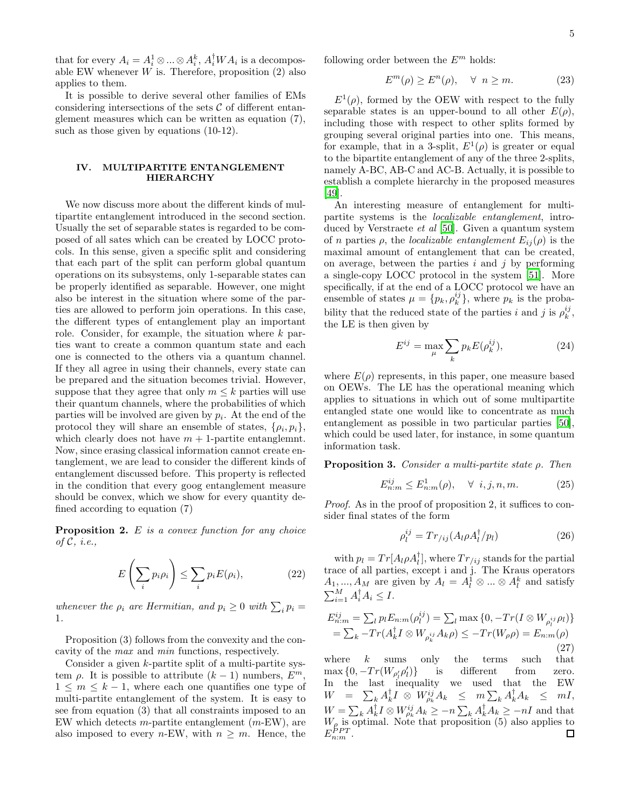that for every  $A_i = A_i^1 \otimes ... \otimes A_i^k$ ,  $A_i^{\dagger}WA_i$  is a decomposable EW whenever  $W$  is. Therefore, proposition  $(2)$  also applies to them.

It is possible to derive several other families of EMs considering intersections of the sets  $\mathcal C$  of different entanglement measures which can be written as equation (7), such as those given by equations (10-12).

## IV. MULTIPARTITE ENTANGLEMENT HIERARCHY

We now discuss more about the different kinds of multipartite entanglement introduced in the second section. Usually the set of separable states is regarded to be composed of all sates which can be created by LOCC protocols. In this sense, given a specific split and considering that each part of the split can perform global quantum operations on its subsystems, only 1-separable states can be properly identified as separable. However, one might also be interest in the situation where some of the parties are allowed to perform join operations. In this case, the different types of entanglement play an important role. Consider, for example, the situation where k parties want to create a common quantum state and each one is connected to the others via a quantum channel. If they all agree in using their channels, every state can be prepared and the situation becomes trivial. However, suppose that they agree that only  $m \leq k$  parties will use their quantum channels, where the probabilities of which parties will be involved are given by  $p_i$ . At the end of the protocol they will share an ensemble of states,  $\{\rho_i, p_i\},\$ which clearly does not have  $m + 1$ -partite entanglemnt. Now, since erasing classical information cannot create entanglement, we are lead to consider the different kinds of entanglement discussed before. This property is reflected in the condition that every goog entanglement measure should be convex, which we show for every quantity defined according to equation (7)

**Proposition 2.**  $E$  is a convex function for any choice of  $\mathcal{C}, i.e.,$ 

$$
E\left(\sum_{i} p_{i}\rho_{i}\right) \leq \sum_{i} p_{i}E(\rho_{i}),\tag{22}
$$

whenever the  $\rho_i$  are Hermitian, and  $p_i \geq 0$  with  $\sum_i p_i =$ 1.

Proposition (3) follows from the convexity and the concavity of the max and min functions, respectively.

Consider a given  $k$ -partite split of a multi-partite system  $\rho$ . It is possible to attribute  $(k-1)$  numbers,  $E^m$  $1 \leq m \leq k-1$ , where each one quantifies one type of multi-partite entanglement of the system. It is easy to see from equation (3) that all constraints imposed to an EW which detects *m*-partite entanglement  $(m$ -EW), are also imposed to every *n*-EW, with  $n \geq m$ . Hence, the

following order between the  $E<sup>m</sup>$  holds:

$$
E^m(\rho) \ge E^n(\rho), \quad \forall \ n \ge m. \tag{23}
$$

 $E^1(\rho)$ , formed by the OEW with respect to the fully separable states is an upper-bound to all other  $E(\rho)$ , including those with respect to other splits formed by grouping several original parties into one. This means, for example, that in a 3-split,  $E^1(\rho)$  is greater or equal to the bipartite entanglement of any of the three 2-splits, namely A-BC, AB-C and AC-B. Actually, it is possible to establish a complete hierarchy in the proposed measures [\[49\]](#page-14-46).

An interesting measure of entanglement for multipartite systems is the localizable entanglement, introduced by Verstraete et al [\[50\]](#page-14-47). Given a quantum system of n parties  $\rho$ , the *localizable entanglement*  $E_{ij}(\rho)$  is the maximal amount of entanglement that can be created, on average, between the parties  $i$  and  $j$  by performing a single-copy LOCC protocol in the system [\[51](#page-14-48)]. More specifically, if at the end of a LOCC protocol we have an ensemble of states  $\mu = \{p_k, \rho_k^{ij}\}\$ , where  $p_k$  is the probability that the reduced state of the parties i and j is  $\rho_k^{ij}$ , the LE is then given by

$$
E^{ij} = \max_{\mu} \sum_{k} p_k E(\rho_k^{ij}), \qquad (24)
$$

where  $E(\rho)$  represents, in this paper, one measure based on OEWs. The LE has the operational meaning which applies to situations in which out of some multipartite entangled state one would like to concentrate as much entanglement as possible in two particular parties [\[50\]](#page-14-47), which could be used later, for instance, in some quantum information task.

**Proposition 3.** Consider a multi-partite state  $\rho$ . Then

$$
E_{n:m}^{ij} \le E_{n:m}^1(\rho), \quad \forall \ i, j, n, m. \tag{25}
$$

Proof. As in the proof of proposition 2, it suffices to consider final states of the form

$$
\rho_l^{ij} = Tr_{/ij} (A_l \rho A_l^\dagger / p_l) \tag{26}
$$

with  $p_l = Tr[A_l \rho A_l^{\dagger}],$  where  $Tr_{ij}$  stands for the partial where  $H^T$   $\left[ Pr\right]$ , where  $H^T$   $\left[ ij$  stands for the partial trace of all parties, except i and j. The Kraus operators  $A_1, ..., A_M$  are given by  $A_l = A_l^1 \otimes ... \otimes A_l^k$  and satisfy  $\sum_{i=1}^{M} A_i^{\dagger} A_i \leq I.$ 

$$
E_{n:m}^{ij} = \sum_{l} p_l E_{n:m}(\rho_l^{ij}) = \sum_{l} \max \{0, -Tr(I \otimes W_{\rho_l^{ij}} \rho_l)\}
$$
  
=  $\sum_{k} -Tr(A_k^{\dagger} I \otimes W_{\rho_k^{ij}} A_k \rho) \le -Tr(W_{\rho} \rho) = E_{n:m}(\rho)$  (27)

where  $k$  sums only the terms such that  $\max\left\{0,-Tr(W_{\rho'_l}\rho'_l) \right\}$  $\{p'_i\}$  is different from zero. In the last inequality we used that the EW  $\begin{array}{rclcl} W & = & \sum_k A_k^\dagger I \; \otimes \; W_{\rho_k}^{ij} A_k & \leq & m \sum_k A_k^\dagger A_k & \leq & m I, \end{array}$  $W = \sum_{k} A_{k}^{\dagger} I \otimes W_{\rho_{k}}^{ij} A_{k} \ge -n \sum_{k} A_{k}^{\dagger} A_{k} \ge -nI$  and that  $W_{\rho}$  is optimal. Note that proposition (5) also applies to  $E_{n:m}^{PPT}$ .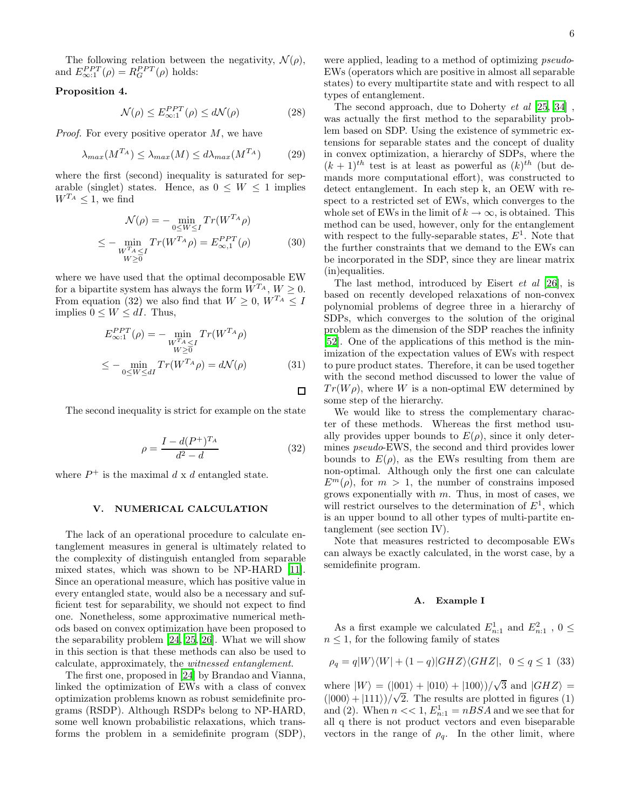The following relation between the negativity,  $\mathcal{N}(\rho)$ , and  $E_{\infty;1}^{PPT}(\rho) = R_G^{PPT}(\rho)$  holds:

# Proposition 4.

$$
\mathcal{N}(\rho) \le E_{\infty:1}^{PPT}(\rho) \le d\mathcal{N}(\rho) \tag{28}
$$

*Proof.* For every positive operator  $M$ , we have

$$
\lambda_{max}(M^{T_A}) \le \lambda_{max}(M) \le d\lambda_{max}(M^{T_A})
$$
 (29)

where the first (second) inequality is saturated for separable (singlet) states. Hence, as  $0 \leq W \leq 1$  implies  $W^{T_A}$  < 1, we find

$$
\mathcal{N}(\rho) = -\min_{0 \le W \le I} Tr(W^{T_A} \rho)
$$
  

$$
\le -\min_{\substack{W^{T_A} < I \\ W \ge 0}} Tr(W^{T_A} \rho) = E^{PPT}_{\infty,1}(\rho) \tag{30}
$$

where we have used that the optimal decomposable EW for a bipartite system has always the form  $W^{T_A}$ ,  $W \geq 0$ . From equation (32) we also find that  $W \geq 0$ ,  $W^{T_A} \leq I$ implies  $0 \leq W \leq dI$ . Thus,

$$
E_{\infty;1}^{PPT}(\rho) = -\min_{\substack{W^{T_A} \le I \\ W \ge 0}} Tr(W^{T_A} \rho)
$$
  

$$
\le -\min_{0 \le W \le dI} Tr(W^{T_A} \rho) = d\mathcal{N}(\rho)
$$
(31)

 $\Box$ 

The second inequality is strict for example on the state

$$
\rho = \frac{I - d(P^+)^{T_A}}{d^2 - d} \tag{32}
$$

where  $P^+$  is the maximal d x d entangled state.

#### V. NUMERICAL CALCULATION

The lack of an operational procedure to calculate entanglement measures in general is ultimately related to the complexity of distinguish entangled from separable mixed states, which was shown to be NP-HARD [\[11\]](#page-14-10). Since an operational measure, which has positive value in every entangled state, would also be a necessary and sufficient test for separability, we should not expect to find one. Nonetheless, some approximative numerical methods based on convex optimization have been proposed to the separability problem [\[24,](#page-14-23) [25,](#page-14-24) [26](#page-14-25)]. What we will show in this section is that these methods can also be used to calculate, approximately, the witnessed entanglement.

The first one, proposed in [\[24\]](#page-14-23) by Brandao and Vianna, linked the optimization of EWs with a class of convex optimization problems known as robust semidefinite programs (RSDP). Although RSDPs belong to NP-HARD, some well known probabilistic relaxations, which transforms the problem in a semidefinite program (SDP),

were applied, leading to a method of optimizing *pseudo*-EWs (operators which are positive in almost all separable states) to every multipartite state and with respect to all types of entanglement.

The second approach, due to Doherty et al [\[25,](#page-14-24) [34\]](#page-14-33) , was actually the first method to the separability problem based on SDP. Using the existence of symmetric extensions for separable states and the concept of duality in convex optimization, a hierarchy of SDPs, where the  $(k+1)$ <sup>th</sup> test is at least as powerful as  $(k)$ <sup>th</sup> (but demands more computational effort), was constructed to detect entanglement. In each step k, an OEW with respect to a restricted set of EWs, which converges to the whole set of EWs in the limit of  $k \to \infty$ , is obtained. This method can be used, however, only for the entanglement with respect to the fully-separable states,  $E^1$ . Note that the further constraints that we demand to the EWs can be incorporated in the SDP, since they are linear matrix (in)equalities.

The last method, introduced by Eisert et al [\[26\]](#page-14-25), is based on recently developed relaxations of non-convex polynomial problems of degree three in a hierarchy of SDPs, which converges to the solution of the original problem as the dimension of the SDP reaches the infinity [\[52\]](#page-14-49). One of the applications of this method is the minimization of the expectation values of EWs with respect to pure product states. Therefore, it can be used together with the second method discussed to lower the value of  $Tr(W\rho)$ , where W is a non-optimal EW determined by some step of the hierarchy.

We would like to stress the complementary character of these methods. Whereas the first method usually provides upper bounds to  $E(\rho)$ , since it only determines pseudo-EWS, the second and third provides lower bounds to  $E(\rho)$ , as the EWs resulting from them are non-optimal. Although only the first one can calculate  $E^m(\rho)$ , for  $m > 1$ , the number of constrains imposed grows exponentially with  $m$ . Thus, in most of cases, we will restrict ourselves to the determination of  $E^1$ , which is an upper bound to all other types of multi-partite entanglement (see section IV).

Note that measures restricted to decomposable EWs can always be exactly calculated, in the worst case, by a semidefinite program.

## A. Example I

As a first example we calculated  $E_{n:1}^1$  and  $E_{n:1}^2$ ,  $0 \le$  $n \leq 1$ , for the following family of states

$$
\rho_q = q|W\rangle\langle W| + (1-q)|GHZ\rangle\langle GHZ|, \ \ 0 \le q \le 1 \ \ (33)
$$

where  $|W\rangle = (|001\rangle + |010\rangle + |100\rangle)/\sqrt{3}$  and  $|GHZ\rangle =$  $(|000\rangle + |111\rangle)/\sqrt{2}$ . The results are plotted in figures (1) and (2). When  $n \ll 1$ ,  $E_{n:1}^1 = nBSA$  and we see that for all q there is not product vectors and even biseparable vectors in the range of  $\rho_q$ . In the other limit, where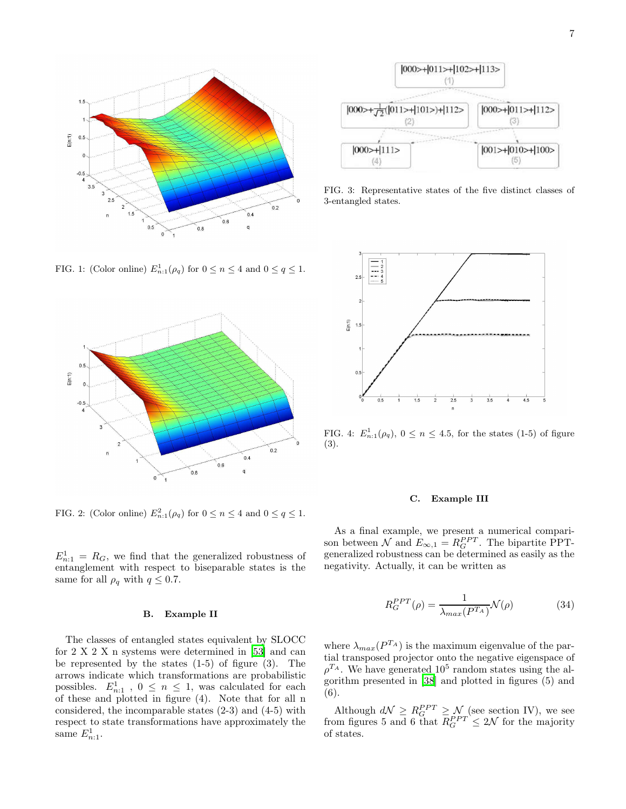

FIG. 1: (Color online)  $E_{n:1}^1(\rho_q)$  for  $0 \le n \le 4$  and  $0 \le q \le 1$ .



FIG. 2: (Color online)  $E_{n:1}^2(\rho_q)$  for  $0 \le n \le 4$  and  $0 \le q \le 1$ .

 $E_{n:1}^1 = R_G$ , we find that the generalized robustness of entanglement with respect to biseparable states is the same for all  $\rho_q$  with  $q \leq 0.7$ .

#### B. Example II

The classes of entangled states equivalent by SLOCC for 2 X 2 X n systems were determined in [\[53\]](#page-14-50) and can be represented by the states  $(1-5)$  of figure  $(3)$ . The arrows indicate which transformations are probabilistic possibles.  $E_{n:1}^1$ ,  $0 \le n \le 1$ , was calculated for each of these and plotted in figure (4). Note that for all n considered, the incomparable states (2-3) and (4-5) with respect to state transformations have approximately the same  $E_{n:1}^1$ .



FIG. 3: Representative states of the five distinct classes of 3-entangled states.



FIG. 4:  $E_{n:1}^1(\rho_q)$ ,  $0 \le n \le 4.5$ , for the states (1-5) of figure (3).

#### C. Example III

As a final example, we present a numerical comparison between  $\mathcal N$  and  $E_{\infty,1} = R_G^{PPT}$ . The bipartite PPTgeneralized robustness can be determined as easily as the negativity. Actually, it can be written as

$$
R_G^{PPT}(\rho) = \frac{1}{\lambda_{max}(P^{T_A})} \mathcal{N}(\rho)
$$
\n(34)

where  $\lambda_{max}(P^{T_A})$  is the maximum eigenvalue of the partial transposed projector onto the negative eigenspace of  $\rho^{T_A}$ . We have generated 10<sup>5</sup> random states using the algorithm presented in [\[38\]](#page-14-37) and plotted in figures (5) and (6).

Although  $d\mathcal{N} \geq R_G^{PPT} \geq \mathcal{N}$  (see section IV), we see from figures 5 and 6 that  $R_G^{PPT} \leq 2\mathcal{N}$  for the majority of states.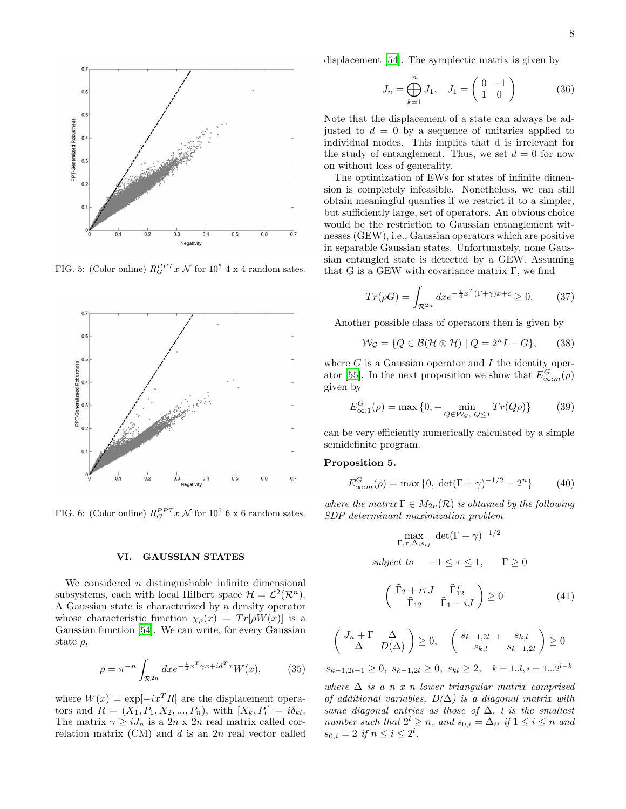

FIG. 5: (Color online)  $R_G^{PPT} x \mathcal{N}$  for  $10^5 4 \times 4$  random sates.



FIG. 6: (Color online)  $R_G^{PPT} x \mathcal{N}$  for  $10^5$  6 x 6 random sates.

### VI. GAUSSIAN STATES

We considered  $n$  distinguishable infinite dimensional subsystems, each with local Hilbert space  $\mathcal{H} = \mathcal{L}^2(\mathcal{R}^n)$ . A Gaussian state is characterized by a density operator whose characteristic function  $\chi_{\rho}(x) = Tr[\rho W(x)]$  is a Gaussian function [\[54](#page-14-51)]. We can write, for every Gaussian state  $\rho$ ,

$$
\rho = \pi^{-n} \int_{\mathcal{R}^{2n}} dx e^{-\frac{1}{4}x^T \gamma x + id^T x} W(x), \tag{35}
$$

where  $W(x) = \exp[-ix^T R]$  are the displacement operators and  $R = (X_1, P_1, X_2, ..., P_n)$ , with  $[X_k, P_l] = i\delta_{kl}$ . The matrix  $\gamma \geq i J_n$  is a 2n x 2n real matrix called correlation matrix  $(CM)$  and d is an 2n real vector called displacement [\[54](#page-14-51)]. The symplectic matrix is given by

$$
J_n = \bigoplus_{k=1}^n J_1, \quad J_1 = \begin{pmatrix} 0 & -1 \\ 1 & 0 \end{pmatrix} \tag{36}
$$

Note that the displacement of a state can always be adjusted to  $d = 0$  by a sequence of unitaries applied to individual modes. This implies that d is irrelevant for the study of entanglement. Thus, we set  $d = 0$  for now on without loss of generality.

The optimization of EWs for states of infinite dimension is completely infeasible. Nonetheless, we can still obtain meaningful quanties if we restrict it to a simpler, but sufficiently large, set of operators. An obvious choice would be the restriction to Gaussian entanglement witnesses (GEW), i.e., Gaussian operators which are positive in separable Gaussian states. Unfortunately, none Gaussian entangled state is detected by a GEW. Assuming that G is a GEW with covariance matrix  $\Gamma$ , we find

$$
Tr(\rho G) = \int_{\mathcal{R}^{2n}} dx e^{-\frac{1}{4}x^T(\Gamma + \gamma)x + c} \ge 0.
$$
 (37)

Another possible class of operators then is given by

$$
\mathcal{W}_{\mathcal{G}} = \{ Q \in \mathcal{B}(\mathcal{H} \otimes \mathcal{H}) \mid Q = 2^{n} I - G \},\qquad(38)
$$

where  $G$  is a Gaussian operator and  $I$  the identity oper-ator [\[55\]](#page-14-52). In the next proposition we show that  $E_{\infty:m}^G(\rho)$ given by

$$
E_{\infty:1}^G(\rho) = \max\left\{0, -\min_{Q \in \mathcal{W}_{\mathcal{G}},\ Q \le I} Tr(Q\rho)\right\} \tag{39}
$$

can be very efficiently numerically calculated by a simple semidefinite program.

#### Proposition 5.

$$
E_{\infty:m}^G(\rho) = \max\{0, \ \det(\Gamma + \gamma)^{-1/2} - 2^n\} \tag{40}
$$

where the matrix  $\Gamma \in M_{2n}(\mathcal{R})$  is obtained by the following SDP determinant maximization problem

$$
\max_{\Gamma,\tau,\Delta,s_{ij}} \det(\Gamma + \gamma)^{-1/2}
$$
  
subject to  $-1 \le \tau \le 1$ ,  $\Gamma \ge 0$ 

$$
\begin{pmatrix} \tilde{\Gamma}_2 + i\tau J & \tilde{\Gamma}_{12}^T \\ \tilde{\Gamma}_{12} & \tilde{\Gamma}_1 - iJ \end{pmatrix} \ge 0
$$
\n(41)

$$
\begin{pmatrix} J_n + \Gamma & \Delta \\ \Delta & D(\Delta) \end{pmatrix} \ge 0, \quad \begin{pmatrix} s_{k-1,2l-1} & s_{k,l} \\ s_{k,l} & s_{k-1,2l} \end{pmatrix} \ge 0
$$

 $s_{k-1,2l-1} \geq 0$ ,  $s_{k-1,2l} \geq 0$ ,  $s_{kl} \geq 2$ ,  $k = 1..l, i = 1...2^{l-k}$ 

where  $\Delta$  is a n x n lower triangular matrix comprised of additional variables,  $D(\Delta)$  is a diagonal matrix with same diagonal entries as those of  $\Delta$ , l is the smallest number such that  $2^l \geq n$ , and  $s_{0,i} = \Delta_{ii}$  if  $1 \leq i \leq n$  and  $s_{0,i} = 2 \text{ if } n \leq i \leq 2^l.$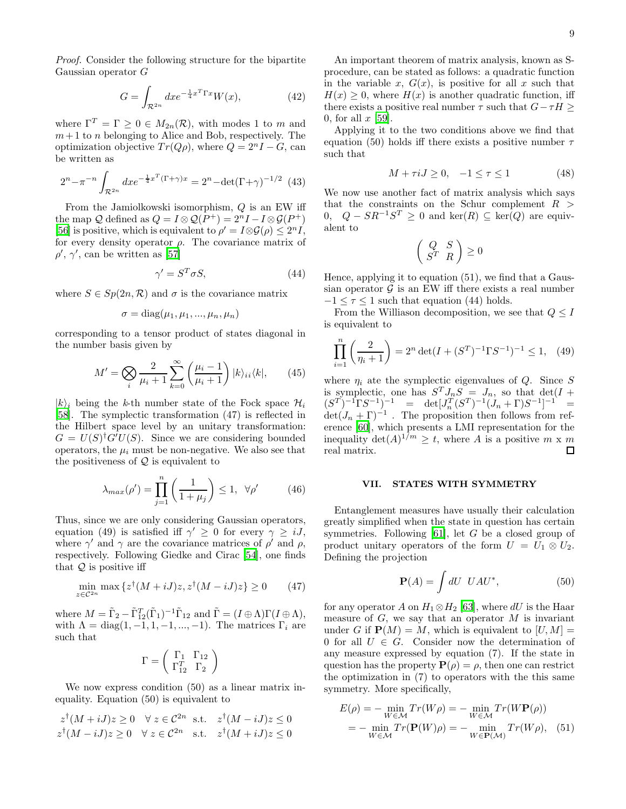Proof. Consider the following structure for the bipartite Gaussian operator G

$$
G = \int_{\mathcal{R}^{2n}} dx e^{-\frac{1}{4}x^T \Gamma x} W(x),\tag{42}
$$

where  $\Gamma^T = \Gamma \geq 0 \in M_{2n}(\mathcal{R})$ , with modes 1 to m and  $m+1$  to n belonging to Alice and Bob, respectively. The optimization objective  $Tr(Q\rho)$ , where  $Q = 2^{n}I - G$ , can be written as

$$
2^{n} - \pi^{-n} \int_{\mathcal{R}^{2n}} dx e^{-\frac{1}{4}x^{T}(\Gamma + \gamma)x} = 2^{n} - \det(\Gamma + \gamma)^{-1/2} \tag{43}
$$

From the Jamiolkowski isomorphism, Q is an EW iff the map Q defined as  $Q = I \otimes Q(P^+) = 2^n I - I \otimes \mathcal{G}(P^+)$ [\[56\]](#page-14-53) is positive, which is equivalent to  $\rho' = I \otimes \mathcal{G}(\rho) \leq 2^n I$ , for every density operator  $\rho$ . The covariance matrix of  $\rho', \gamma',$  can be written as [\[57](#page-14-54)]

$$
\gamma' = S^T \sigma S,\tag{44}
$$

where  $S \in Sp(2n, \mathcal{R})$  and  $\sigma$  is the covariance matrix

$$
\sigma = \text{diag}(\mu_1, \mu_1, ..., \mu_n, \mu_n)
$$

corresponding to a tensor product of states diagonal in the number basis given by

$$
M' = \bigotimes_{i} \frac{2}{\mu_i + 1} \sum_{k=0}^{\infty} \left( \frac{\mu_i - 1}{\mu_i + 1} \right) |k\rangle_{ii} \langle k|, \qquad (45)
$$

 $|k\rangle_i$  being the k-th number state of the Fock space  $\mathcal{H}_i$ [\[58\]](#page-14-55). The symplectic transformation (47) is reflected in the Hilbert space level by an unitary transformation:  $G = U(S)^{\dagger} G' U(S)$ . Since we are considering bounded operators, the  $\mu_i$  must be non-negative. We also see that the positiveness of  $Q$  is equivalent to

$$
\lambda_{max}(\rho') = \prod_{j=1}^{n} \left(\frac{1}{1+\mu_j}\right) \le 1, \ \forall \rho' \tag{46}
$$

Thus, since we are only considering Gaussian operators, equation (49) is satisfied iff  $\gamma' \geq 0$  for every  $\gamma \geq iJ$ , where  $\gamma'$  and  $\gamma$  are the covariance matrices of  $\rho'$  and  $\rho$ , respectively. Following Giedke and Cirac [\[54\]](#page-14-51), one finds that  $Q$  is positive iff

$$
\min_{z \in \mathcal{C}^{2n}} \max \left\{ z^\dagger (M + iJ)z, z^\dagger (M - iJ)z \right\} \ge 0 \tag{47}
$$

where  $M = \tilde{\Gamma}_2 - \tilde{\Gamma}_{12}^T (\tilde{\Gamma}_1)^{-1} \tilde{\Gamma}_{12}$  and  $\tilde{\Gamma} = (I \oplus \Lambda) \Gamma (I \oplus \Lambda),$ with  $\Lambda = \text{diag}(1, -1, 1, -1, ..., -1)$ . The matrices  $\Gamma_i$  are such that

$$
\Gamma = \left(\begin{array}{cc} \Gamma_1 & \Gamma_{12} \\ \Gamma_{12}^T & \Gamma_2 \end{array}\right)
$$

We now express condition (50) as a linear matrix inequality. Equation (50) is equivalent to

$$
z^{\dagger}(M+iJ)z \ge 0 \quad \forall z \in \mathcal{C}^{2n} \quad \text{s.t.} \quad z^{\dagger}(M-iJ)z \le 0
$$
  

$$
z^{\dagger}(M-iJ)z \ge 0 \quad \forall z \in \mathcal{C}^{2n} \quad \text{s.t.} \quad z^{\dagger}(M+iJ)z \le 0
$$

An important theorem of matrix analysis, known as Sprocedure, can be stated as follows: a quadratic function in the variable x,  $G(x)$ , is positive for all x such that  $H(x) \geq 0$ , where  $H(x)$  is another quadratic function, iff there exists a positive real number  $\tau$  such that  $G - \tau H \ge$ 0, for all  $x$  [\[59\]](#page-14-56).

Applying it to the two conditions above we find that equation (50) holds iff there exists a positive number  $\tau$ such that

$$
M + \tau iJ \ge 0, \quad -1 \le \tau \le 1 \tag{48}
$$

We now use another fact of matrix analysis which says that the constraints on the Schur complement  $R >$ 0,  $Q - SR^{-1}S^{T} \ge 0$  and ker(R) ⊆ ker(Q) are equivalent to

$$
\left(\begin{array}{cc} Q & S \\ S^T & R \end{array}\right) \geq 0
$$

Hence, applying it to equation (51), we find that a Gaussian operator  $G$  is an EW iff there exists a real number  $-1 \leq \tau \leq 1$  such that equation (44) holds.

From the Williason decomposition, we see that  $Q \leq I$ is equivalent to

$$
\prod_{i=1}^{n} \left( \frac{2}{\eta_i + 1} \right) = 2^n \det(I + (S^T)^{-1} \Gamma S^{-1})^{-1} \le 1, \quad (49)
$$

where  $\eta_i$  ate the symplectic eigenvalues of Q. Since S is symplectic, one has  $S^T J_n S = J_n$ , so that  $\det(I +$  $(S^T)^{-1} \Gamma S^{-1}$ )<sup>-1</sup> = det $[J_n^T (S^T)^{-1} (J_n + \Gamma) S^{-1}]^{-1}$  =  $\det(J_n + \Gamma)^{-1}$ . The proposition then follows from reference [\[60](#page-14-57)], which presents a LMI representation for the inequality  $\det(A)^{1/m} \geq t$ , where A is a positive  $m \times m$ real matrix.

## VII. STATES WITH SYMMETRY

Entanglement measures have usually their calculation greatly simplified when the state in question has certain symmetries. Following  $[61]$ , let G be a closed group of product unitary operators of the form  $U = U_1 \otimes U_2$ . Defining the projection

$$
\mathbf{P}(A) = \int dU \, UAU^*, \tag{50}
$$

for any operator A on  $H_1 \otimes H_2$  [\[63\]](#page-15-1), where dU is the Haar measure of  $G$ , we say that an operator  $M$  is invariant under G if  $P(M) = M$ , which is equivalent to  $[U, M] =$ 0 for all  $U \in G$ . Consider now the determination of any measure expressed by equation (7). If the state in question has the property  $P(\rho) = \rho$ , then one can restrict the optimization in (7) to operators with the this same symmetry. More specifically,

$$
E(\rho) = -\min_{W \in \mathcal{M}} Tr(W\rho) = -\min_{W \in \mathcal{M}} Tr(W\mathbf{P}(\rho))
$$
  
= 
$$
-\min_{W \in \mathcal{M}} Tr(\mathbf{P}(W)\rho) = -\min_{W \in \mathbf{P}(\mathcal{M})} Tr(W\rho), \quad (51)
$$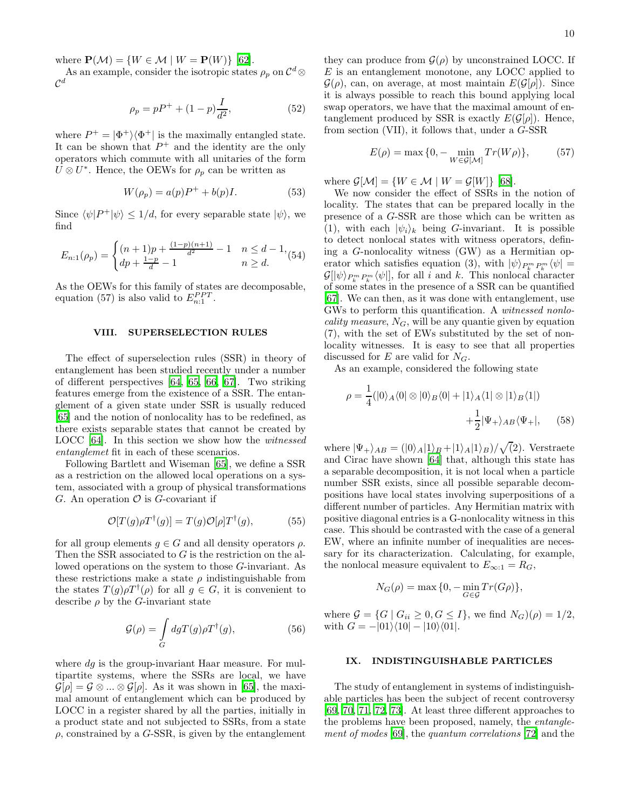where  $P(\mathcal{M}) = \{ W \in \mathcal{M} \mid W = P(W) \}$  [\[62\]](#page-15-2).

As an example, consider the isotropic states  $\rho_p$  on  $\mathcal{C}^d$  $\otimes$  $\mathcal{C}^d$ 

$$
\rho_p = pP^+ + (1 - p)\frac{I}{d^2},\tag{52}
$$

where  $P^+ = |\Phi^+\rangle\langle\Phi^+|$  is the maximally entangled state. It can be shown that  $P^+$  and the identity are the only operators which commute with all unitaries of the form  $U \otimes U^*$ . Hence, the OEWs for  $\rho_p$  can be written as

$$
W(\rho_p) = a(p)P^+ + b(p)I.
$$
\n<sup>(53)</sup>

Since  $\langle \psi | P^+ | \psi \rangle \leq 1/d$ , for every separable state  $|\psi\rangle$ , we find

$$
E_{n:1}(\rho_p) = \begin{cases} (n+1)p + \frac{(1-p)(n+1)}{d^2} - 1 & n \leq d - 1, \\ dp + \frac{1-p}{d} - 1 & n \geq d. \end{cases}
$$

As the OEWs for this family of states are decomposable, equation (57) is also valid to  $E_{n:1}^{PPT}$ .

# VIII. SUPERSELECTION RULES

The effect of superselection rules (SSR) in theory of entanglement has been studied recently under a number of different perspectives [\[64,](#page-15-3) [65](#page-15-4), [66,](#page-15-5) [67](#page-15-6)]. Two striking features emerge from the existence of a SSR. The entanglement of a given state under SSR is usually reduced [\[65\]](#page-15-4) and the notion of nonlocality has to be redefined, as there exists separable states that cannot be created by LOCC [\[64](#page-15-3)]. In this section we show how the witnessed entanglemet fit in each of these scenarios.

Following Bartlett and Wiseman [\[65](#page-15-4)], we define a SSR as a restriction on the allowed local operations on a system, associated with a group of physical transformations G. An operation  $\mathcal O$  is G-covariant if

$$
\mathcal{O}[T(g)\rho T^{\dagger}(g)] = T(g)\mathcal{O}[\rho]T^{\dagger}(g), \tag{55}
$$

for all group elements  $g \in G$  and all density operators  $\rho$ . Then the SSR associated to G is the restriction on the allowed operations on the system to those G-invariant. As these restrictions make a state  $\rho$  indistinguishable from the states  $T(g)\rho T^{\dagger}(\rho)$  for all  $g \in G$ , it is convenient to describe  $\rho$  by the *G*-invariant state

$$
\mathcal{G}(\rho) = \int\limits_G dg T(g) \rho T^{\dagger}(g),\tag{56}
$$

where  $dg$  is the group-invariant Haar measure. For multipartite systems, where the SSRs are local, we have  $\mathcal{G}[\rho] = \mathcal{G} \otimes \ldots \otimes \mathcal{G}[\rho]$ . As it was shown in [\[65](#page-15-4)], the maximal amount of entanglement which can be produced by LOCC in a register shared by all the parties, initially in a product state and not subjected to SSRs, from a state  $\rho$ , constrained by a G-SSR, is given by the entanglement

they can produce from  $\mathcal{G}(\rho)$  by unconstrained LOCC. If  $E$  is an entanglement monotone, any LOCC applied to  $\mathcal{G}(\rho)$ , can, on average, at most maintain  $E(\mathcal{G}[\rho])$ . Since it is always possible to reach this bound applying local swap operators, we have that the maximal amount of entanglement produced by SSR is exactly  $E(\mathcal{G}[\rho])$ . Hence, from section (VII), it follows that, under a G-SSR

$$
E(\rho) = \max\{0, -\min_{W \in \mathcal{G}[\mathcal{M}]} Tr(W\rho)\},\tag{57}
$$

where  $\mathcal{G}[\mathcal{M}] = \{W \in \mathcal{M} \mid W = \mathcal{G}[W]\}\$  [\[68\]](#page-15-7).

We now consider the effect of SSRs in the notion of locality. The states that can be prepared locally in the presence of a G-SSR are those which can be written as (1), with each  $|\psi_i\rangle_k$  being G-invariant. It is possible to detect nonlocal states with witness operators, defining a G-nonlocality witness (GW) as a Hermitian operator which satisfies equation (3), with  $|\psi\rangle_{P_k^m P_k^m} \langle \psi| =$  $\mathcal{G}[\psi\rangle_{P_k^m P_k^m} \langle \psi |]$ , for all i and k. This nonlocal character of some states in the presence of a SSR can be quantified [\[67\]](#page-15-6). We can then, as it was done with entanglement, use GWs to perform this quantification. A witnessed nonlocality measure,  $N_G$ , will be any quantie given by equation (7), with the set of EWs substituted by the set of nonlocality witnesses. It is easy to see that all properties discussed for E are valid for  $N_G$ .

As an example, considered the following state

$$
\rho = \frac{1}{4} (|0\rangle_A \langle 0| \otimes |0\rangle_B \langle 0| + |1\rangle_A \langle 1| \otimes |1\rangle_B \langle 1|) + \frac{1}{2} |\Psi_+\rangle_{AB} \langle \Psi_+|, \qquad (58)
$$

where  $|\Psi_+\rangle_{AB} = (|0\rangle_A|1\rangle_B + |1\rangle_A|1\rangle_B)/\sqrt{(2)}$ . Verstraete and Cirac have shown [\[64](#page-15-3)] that, although this state has a separable decomposition, it is not local when a particle number SSR exists, since all possible separable decompositions have local states involving superpositions of a different number of particles. Any Hermitian matrix with positive diagonal entries is a G-nonlocality witness in this case. This should be contrasted with the case of a general EW, where an infinite number of inequalities are necessary for its characterization. Calculating, for example, the nonlocal measure equivalent to  $E_{\infty:1} = R_G$ ,

$$
N_G(\rho) = \max\{0, -\min_{G \in \mathcal{G}} Tr(G\rho)\},\
$$

where  $\mathcal{G} = \{G \mid G_{ii} \geq 0, G \leq I\}$ , we find  $N_G(\rho) = 1/2$ , with  $G = -|01\rangle\langle10| - |10\rangle\langle01|$ .

## IX. INDISTINGUISHABLE PARTICLES

The study of entanglement in systems of indistinguishable particles has been the subject of recent controversy [\[69,](#page-15-8) [70](#page-15-9), [71,](#page-15-10) [72,](#page-15-11) [73](#page-15-12)]. At least three different approaches to the problems have been proposed, namely, the entanglement of modes [\[69](#page-15-8)], the quantum correlations [\[72\]](#page-15-11) and the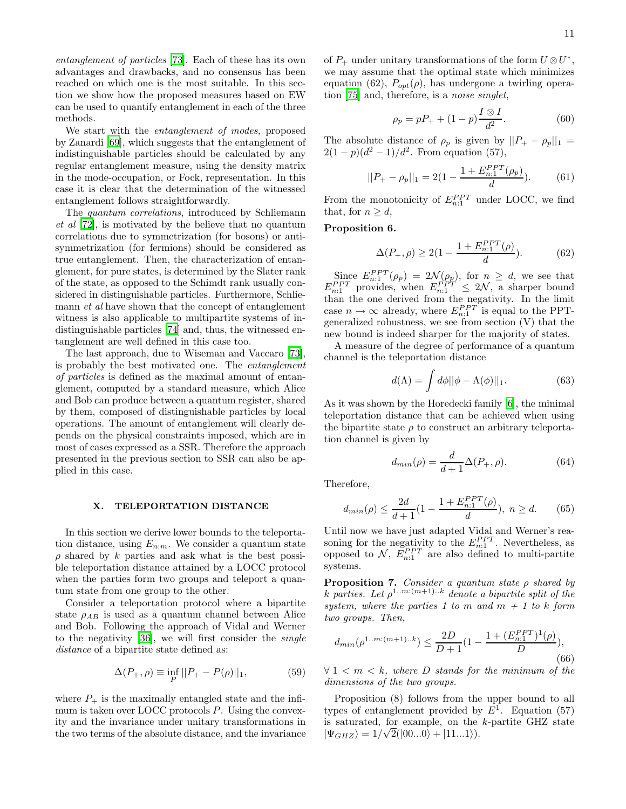entanglement of particles [\[73\]](#page-15-12). Each of these has its own advantages and drawbacks, and no consensus has been reached on which one is the most suitable. In this section we show how the proposed measures based on EW can be used to quantify entanglement in each of the three methods.

We start with the entanglement of modes, proposed by Zanardi [\[69\]](#page-15-8), which suggests that the entanglement of indistinguishable particles should be calculated by any regular entanglement measure, using the density matrix in the mode-occupation, or Fock, representation. In this case it is clear that the determination of the witnessed entanglement follows straightforwardly.

The quantum correlations, introduced by Schliemann et al [\[72](#page-15-11)], is motivated by the believe that no quantum correlations due to symmetrization (for bosons) or antisymmetrization (for fermions) should be considered as true entanglement. Then, the characterization of entanglement, for pure states, is determined by the Slater rank of the state, as opposed to the Schimdt rank usually considered in distinguishable particles. Furthermore, Schliemann *et al* have shown that the concept of entanglement witness is also applicable to multipartite systems of indistinguishable particles [\[74\]](#page-15-13) and, thus, the witnessed entanglement are well defined in this case too.

The last approach, due to Wiseman and Vaccaro [\[73\]](#page-15-12), is probably the best motivated one. The entanglement of particles is defined as the maximal amount of entanglement, computed by a standard measure, which Alice and Bob can produce between a quantum register, shared by them, composed of distinguishable particles by local operations. The amount of entanglement will clearly depends on the physical constraints imposed, which are in most of cases expressed as a SSR. Therefore the approach presented in the previous section to SSR can also be applied in this case.

#### X. TELEPORTATION DISTANCE

In this section we derive lower bounds to the teleportation distance, using  $E_{n:m}$ . We consider a quantum state  $\rho$  shared by k parties and ask what is the best possible teleportation distance attained by a LOCC protocol when the parties form two groups and teleport a quantum state from one group to the other.

Consider a teleportation protocol where a bipartite state  $\rho_{AB}$  is used as a quantum channel between Alice and Bob. Following the approach of Vidal and Werner to the negativity [\[36](#page-14-35)], we will first consider the single distance of a bipartite state defined as:

$$
\Delta(P_+,\rho) \equiv \inf_P ||P_+ - P(\rho)||_1,
$$
 (59)

where  $P_+$  is the maximally entangled state and the infimum is taken over LOCC protocols P. Using the convexity and the invariance under unitary transformations in the two terms of the absolute distance, and the invariance

of  $P_+$  under unitary transformations of the form  $U \otimes U^*$ , we may assume that the optimal state which minimizes equation (62),  $P_{opt}(\rho)$ , has undergone a twirling operation [\[75](#page-15-14)] and, therefore, is a noise singlet,

$$
\rho_p = pP_+ + (1 - p)\frac{I \otimes I}{d^2}.
$$
\n(60)

The absolute distance of  $\rho_p$  is given by  $||P_+ - \rho_p||_1 =$  $2(1-p)(d^2-1)/d^2$ . From equation (57),

$$
||P_{+} - \rho_{p}||_{1} = 2\left(1 - \frac{1 + E_{n:1}^{PPT}(\rho_{p})}{d}\right).
$$
 (61)

From the monotonicity of  $E_{n:1}^{PPT}$  under LOCC, we find that, for  $n \geq d$ ,

## Proposition 6.

$$
\Delta(P_+,\rho) \ge 2(1 - \frac{1 + E_{n:1}^{PPT}(\rho)}{d}).
$$
\n(62)

Since  $E_{n:1}^{PPT}(\rho_p) = 2\mathcal{N}(\rho_p)$ , for  $n \geq d$ , we see that  $E_{n:1}^{PPT}$  provides, when  $E_{n:1}^{PPT} \leq 2\mathcal{N}$ , a sharper bound than the one derived from the negativity. In the limit case  $n \to \infty$  already, where  $E_{n,1}^{PPT}$  is equal to the PPTgeneralized robustness, we see from section (V) that the new bound is indeed sharper for the majority of states.

A measure of the degree of performance of a quantum channel is the teleportation distance

$$
d(\Lambda) = \int d\phi ||\phi - \Lambda(\phi)||_1.
$$
 (63)

As it was shown by the Horedecki family [\[6\]](#page-14-5), the minimal teleportation distance that can be achieved when using the bipartite state  $\rho$  to construct an arbitrary teleportation channel is given by

$$
d_{min}(\rho) = \frac{d}{d+1} \Delta(P_+, \rho). \tag{64}
$$

Therefore,

$$
d_{min}(\rho) \le \frac{2d}{d+1} \left(1 - \frac{1 + E_{n:1}^{PPT}(\rho)}{d}\right), \ n \ge d. \tag{65}
$$

Until now we have just adapted Vidal and Werner's reasoning for the negativity to the  $E_{n:1}^{PPT}$ . Nevertheless, as opposed to  $N$ ,  $E_{n:1}^{PPT}$  are also defined to multi-partite systems.

**Proposition 7.** Consider a quantum state  $\rho$  shared by k parties. Let  $\rho^{1..m:(m+1)..k}$  denote a bipartite split of the system, where the parties 1 to m and  $m + 1$  to k form two groups. Then,

$$
d_{min}(\rho^{1..m:(m+1)..k}) \le \frac{2D}{D+1} \left(1 - \frac{1 + (E_{n:1}^{PPT})^1(\rho)}{D}\right),\tag{66}
$$

 $\forall 1 \leq m \leq k$ , where D stands for the minimum of the dimensions of the two groups.

Proposition (8) follows from the upper bound to all types of entanglement provided by  $E^1$ . Equation (57) is saturated, for example, on the k-partite GHZ state  $|\Psi_{GHZ}\rangle = 1/\sqrt{2}(|00...0\rangle + |11...1\rangle).$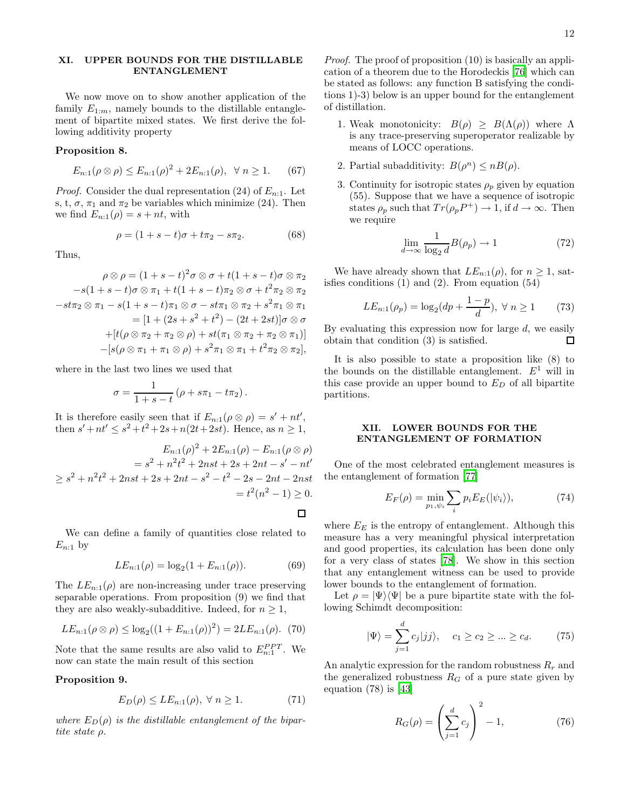# XI. UPPER BOUNDS FOR THE DISTILLABLE ENTANGLEMENT

We now move on to show another application of the family  $E_{1:m}$ , namely bounds to the distillable entanglement of bipartite mixed states. We first derive the following additivity property

## Proposition 8.

$$
E_{n:1}(\rho \otimes \rho) \le E_{n:1}(\rho)^2 + 2E_{n:1}(\rho), \ \ \forall \ n \ge 1. \tag{67}
$$

*Proof.* Consider the dual representation (24) of  $E_{n:1}$ . Let s, t,  $\sigma$ ,  $\pi_1$  and  $\pi_2$  be variables which minimize (24). Then we find  $E_{n:1}(\rho) = s + nt$ , with

$$
\rho = (1 + s - t)\sigma + t\pi_2 - s\pi_2. \tag{68}
$$

Thus,

$$
\rho \otimes \rho = (1+s-t)^2 \sigma \otimes \sigma + t(1+s-t) \sigma \otimes \pi_2
$$
  
\n
$$
-s(1+s-t) \sigma \otimes \pi_1 + t(1+s-t) \pi_2 \otimes \sigma + t^2 \pi_2 \otimes \pi_2
$$
  
\n
$$
-st\pi_2 \otimes \pi_1 - s(1+s-t) \pi_1 \otimes \sigma - st\pi_1 \otimes \pi_2 + s^2 \pi_1 \otimes \pi_1
$$
  
\n
$$
= [1 + (2s+s^2+t^2) - (2t+2st)] \sigma \otimes \sigma
$$
  
\n
$$
+ [t(\rho \otimes \pi_2 + \pi_2 \otimes \rho) + st(\pi_1 \otimes \pi_2 + \pi_2 \otimes \pi_1)]
$$
  
\n
$$
-[s(\rho \otimes \pi_1 + \pi_1 \otimes \rho) + s^2 \pi_1 \otimes \pi_1 + t^2 \pi_2 \otimes \pi_2],
$$

where in the last two lines we used that

$$
\sigma = \frac{1}{1+s-t} (\rho + s\pi_1 - t\pi_2).
$$

It is therefore easily seen that if  $E_{n:1}(\rho \otimes \rho) = s' + nt'$ , then  $s' + nt' \leq s^2 + t^2 + 2s + n(2t + 2st)$ . Hence, as  $n \geq 1$ ,

$$
E_{n:1}(\rho)^2 + 2E_{n:1}(\rho) - E_{n:1}(\rho \otimes \rho)
$$
  
=  $s^2 + n^2t^2 + 2nst + 2st + 2nt - s' - nt'$   
 $\geq s^2 + n^2t^2 + 2nst + 2s + 2nt - s^2 - t^2 - 2s - 2nt - 2nst$   
=  $t^2(n^2 - 1) \geq 0$ .

□

We can define a family of quantities close related to  $E_{n:1}$  by

$$
LE_{n:1}(\rho) = \log_2(1 + E_{n:1}(\rho)).
$$
 (69)

The  $LE_{n:1}(\rho)$  are non-increasing under trace preserving separable operations. From proposition (9) we find that they are also weakly-subadditive. Indeed, for  $n \geq 1$ ,

$$
LE_{n:1}(\rho \otimes \rho) \le \log_2((1 + E_{n:1}(\rho))^2) = 2LE_{n:1}(\rho). \tag{70}
$$

Note that the same results are also valid to  $E_{n:1}^{PPT}$ . We now can state the main result of this section

Proposition 9.

$$
E_D(\rho) \le LE_{n:1}(\rho), \ \forall \ n \ge 1. \tag{71}
$$

where  $E_D(\rho)$  is the distillable entanglement of the bipartite state ρ.

Proof. The proof of proposition (10) is basically an application of a theorem due to the Horodeckis [\[76\]](#page-15-15) which can be stated as follows: any function B satisfying the conditions 1)-3) below is an upper bound for the entanglement of distillation.

- 1. Weak monotonicity:  $B(\rho) \geq B(\Lambda(\rho))$  where  $\Lambda$ is any trace-preserving superoperator realizable by means of LOCC operations.
- 2. Partial subadditivity:  $B(\rho^n) \le nB(\rho)$ .
- 3. Continuity for isotropic states  $\rho_p$  given by equation (55). Suppose that we have a sequence of isotropic states  $\rho_p$  such that  $Tr(\rho_p P^+) \to 1$ , if  $d \to \infty$ . Then we require

$$
\lim_{d \to \infty} \frac{1}{\log_2 d} B(\rho_p) \to 1
$$
\n(72)

We have already shown that  $LE_{n:1}(\rho)$ , for  $n \geq 1$ , satisfies conditions  $(1)$  and  $(2)$ . From equation  $(54)$ 

$$
LE_{n:1}(\rho_p) = \log_2(dp + \frac{1-p}{d}), \ \forall \ n \ge 1 \tag{73}
$$

By evaluating this expression now for large  $d$ , we easily obtain that condition (3) is satisfied. П

It is also possible to state a proposition like (8) to the bounds on the distillable entanglement.  $E^1$  will in this case provide an upper bound to  $E_D$  of all bipartite partitions.

## XII. LOWER BOUNDS FOR THE ENTANGLEMENT OF FORMATION

One of the most celebrated entanglement measures is the entanglement of formation [\[77](#page-15-16)]

$$
E_F(\rho) = \min_{p_1, \psi_i} \sum_i p_i E_E(|\psi_i\rangle),\tag{74}
$$

where  $E_E$  is the entropy of entanglement. Although this measure has a very meaningful physical interpretation and good properties, its calculation has been done only for a very class of states [\[78](#page-15-17)]. We show in this section that any entanglement witness can be used to provide lower bounds to the entanglement of formation.

Let  $\rho = |\Psi\rangle\langle\Psi|$  be a pure bipartite state with the following Schimdt decomposition:

$$
|\Psi\rangle = \sum_{j=1}^{d} c_j |jj\rangle, \quad c_1 \ge c_2 \ge \dots \ge c_d. \tag{75}
$$

An analytic expression for the random robustness  $R_r$  and the generalized robustness  $R_G$  of a pure state given by equation (78) is [\[43\]](#page-14-42)

$$
R_G(\rho) = \left(\sum_{j=1}^d c_j\right)^2 - 1,\tag{76}
$$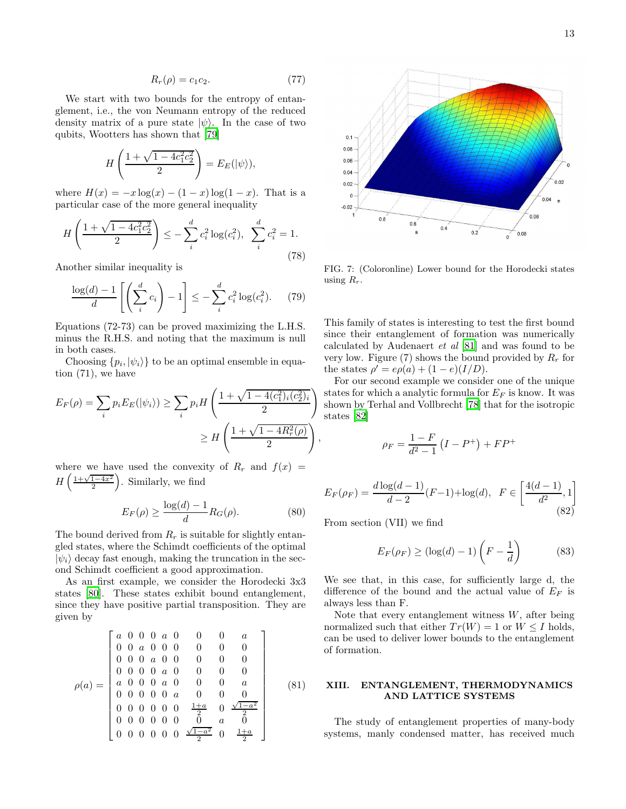$$
R_r(\rho) = c_1 c_2. \tag{77}
$$

We start with two bounds for the entropy of entanglement, i.e., the von Neumann entropy of the reduced density matrix of a pure state  $|\psi\rangle$ . In the case of two qubits, Wootters has shown that [\[79](#page-15-18)]

$$
H\left(\frac{1+\sqrt{1-4c_1^2c_2^2}}{2}\right) = E_E(|\psi\rangle),
$$

where  $H(x) = -x \log(x) - (1 - x) \log(1 - x)$ . That is a particular case of the more general inequality

$$
H\left(\frac{1+\sqrt{1-4c_1^2c_2^2}}{2}\right) \le -\sum_{i}^{d} c_i^2 \log(c_i^2), \ \sum_{i}^{d} c_i^2 = 1.
$$
\n(78)

Another similar inequality is

$$
\frac{\log(d) - 1}{d} \left[ \left( \sum_{i}^{d} c_{i} \right) - 1 \right] \leq - \sum_{i}^{d} c_{i}^{2} \log(c_{i}^{2}). \tag{79}
$$

Equations (72-73) can be proved maximizing the L.H.S. minus the R.H.S. and noting that the maximum is null in both cases.

Choosing  $\{p_i, |\psi_i\rangle\}$  to be an optimal ensemble in equation (71), we have

$$
E_F(\rho) = \sum_i p_i E_E(|\psi_i\rangle) \ge \sum_i p_i H\left(\frac{1 + \sqrt{1 - 4(c_1^2)_i(c_2^2)_i}}{2}\right) \ge H\left(\frac{1 + \sqrt{1 - 4R_r^2(\rho)}}{2}\right)
$$

where we have used the convexity of  $R_r$  and  $f(x)$  =  $H\left(\frac{1+\sqrt{1-4x^2}}{2}\right)$ . Similarly, we find

$$
E_F(\rho) \ge \frac{\log(d) - 1}{d} R_G(\rho). \tag{80}
$$

The bound derived from  $R_r$  is suitable for slightly entangled states, where the Schimdt coefficients of the optimal  $|\psi_i\rangle$  decay fast enough, making the truncation in the second Schimdt coefficient a good approximation.

As an first example, we consider the Horodecki 3x3 states [\[80\]](#page-15-19). These states exhibit bound entanglement, since they have positive partial transposition. They are given by

$$
\rho(a) = \begin{bmatrix} a & 0 & 0 & 0 & a & 0 & 0 & 0 & a \\ 0 & 0 & a & 0 & 0 & 0 & 0 & 0 & 0 \\ 0 & 0 & 0 & a & 0 & 0 & 0 & 0 & 0 \\ 0 & 0 & 0 & 0 & a & 0 & 0 & 0 & 0 \\ a & 0 & 0 & 0 & a & 0 & 0 & 0 & a \\ 0 & 0 & 0 & 0 & 0 & a & 0 & 0 & 0 \\ 0 & 0 & 0 & 0 & 0 & \frac{1+a}{2} & 0 & \frac{\sqrt{1-a^2}}{2} \\ 0 & 0 & 0 & 0 & 0 & 0 & \frac{\sqrt{1-a^2}}{2} & 0 & \frac{1+a}{2} \end{bmatrix}
$$
(81)



FIG. 7: (Coloronline) Lower bound for the Horodecki states using  $R_r$ .

This family of states is interesting to test the first bound since their entanglement of formation was numerically calculated by Audenaert et al [\[81\]](#page-15-20) and was found to be very low. Figure (7) shows the bound provided by  $R_r$  for the states  $\rho' = e\rho(a) + (1 - e)(I/D)$ .

For our second example we consider one of the unique states for which a analytic formula for  $E_F$  is know. It was shown by Terhal and Vollbrecht [\[78](#page-15-17)] that for the isotropic states [\[82](#page-15-21)]

$$
\rho_F = \frac{1 - F}{d^2 - 1} \left( I - P^+ \right) + FP^+
$$

$$
E_F(\rho_F) = \frac{d \log(d-1)}{d-2} (F-1) + \log(d), \ \ F \in \left[\frac{4(d-1)}{d^2}, 1\right] \tag{82}
$$

From section (VII) we find

,

$$
E_F(\rho_F) \ge (\log(d) - 1) \left( F - \frac{1}{d} \right) \tag{83}
$$

We see that, in this case, for sufficiently large d, the difference of the bound and the actual value of  $E_F$  is always less than F.

Note that every entanglement witness  $W$ , after being normalized such that either  $Tr(W) = 1$  or  $W \leq I$  holds, can be used to deliver lower bounds to the entanglement of formation.

## XIII. ENTANGLEMENT, THERMODYNAMICS AND LATTICE SYSTEMS

The study of entanglement properties of many-body systems, manly condensed matter, has received much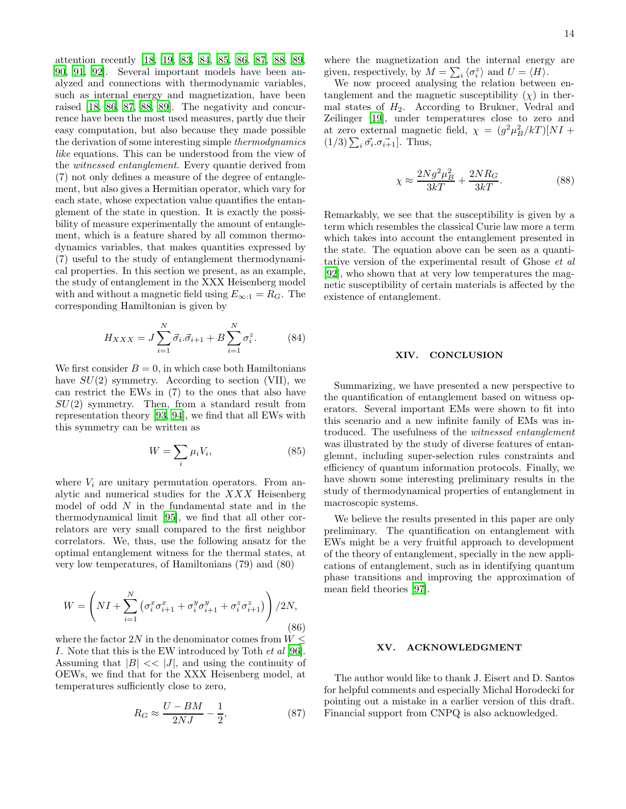attention recently [\[18,](#page-14-17) [19,](#page-14-18) [83](#page-15-22), [84](#page-15-23), [85,](#page-15-24) [86,](#page-15-25) [87,](#page-15-26) [88](#page-15-27), [89](#page-15-28), [90,](#page-15-29) [91](#page-15-30), [92](#page-15-31)]. Several important models have been analyzed and connections with thermodynamic variables, such as internal energy and magnetization, have been raised [\[18,](#page-14-17) [86,](#page-15-25) [87,](#page-15-26) [88,](#page-15-27) [89](#page-15-28)]. The negativity and concurrence have been the most used measures, partly due their easy computation, but also because they made possible the derivation of some interesting simple thermodynamics like equations. This can be understood from the view of the witnessed entanglement. Every quantie derived from (7) not only defines a measure of the degree of entanglement, but also gives a Hermitian operator, which vary for each state, whose expectation value quantifies the entanglement of the state in question. It is exactly the possibility of measure experimentally the amount of entanglement, which is a feature shared by all common thermodynamics variables, that makes quantities expressed by (7) useful to the study of entanglement thermodynamical properties. In this section we present, as an example, the study of entanglement in the XXX Heisenberg model with and without a magnetic field using  $E_{\infty:1} = R_G$ . The corresponding Hamiltonian is given by

$$
H_{XXX} = J \sum_{i=1}^{N} \vec{\sigma}_i \cdot \vec{\sigma}_{i+1} + B \sum_{i=1}^{N} \sigma_i^z.
$$
 (84)

We first consider  $B = 0$ , in which case both Hamiltonians have  $SU(2)$  symmetry. According to section (VII), we can restrict the EWs in (7) to the ones that also have  $SU(2)$  symmetry. Then, from a standard result from representation theory [\[93,](#page-15-32) [94](#page-15-33)], we find that all EWs with this symmetry can be written as

$$
W = \sum_{i} \mu_i V_i,\tag{85}
$$

where  $V_i$  are unitary permutation operators. From analytic and numerical studies for the XXX Heisenberg model of odd N in the fundamental state and in the thermodynamical limit [\[95\]](#page-15-34), we find that all other correlators are very small compared to the first neighbor correlators. We, thus, use the following ansatz for the optimal entanglement witness for the thermal states, at very low temperatures, of Hamiltonians (79) and (80)

$$
W = \left( NI + \sum_{i=1}^{N} \left( \sigma_i^x \sigma_{i+1}^x + \sigma_i^y \sigma_{i+1}^y + \sigma_i^z \sigma_{i+1}^z \right) \right) / 2N,
$$
\n(86)

where the factor  $2N$  in the denominator comes from  $W \leq$ I. Note that this is the EW introduced by Toth et al [\[96\]](#page-15-35). Assuming that  $|B| \ll |J|$ , and using the continuity of OEWs, we find that for the XXX Heisenberg model, at temperatures sufficiently close to zero,

$$
R_G \approx \frac{U - BM}{2NJ} - \frac{1}{2},\tag{87}
$$

where the magnetization and the internal energy are given, respectively, by  $M = \sum_i \langle \sigma_i^z \rangle$  and  $U = \langle H \rangle$ .

We now proceed analysing the relation between entanglement and the magnetic susceptibility  $(\chi)$  in thermal states of  $H_2$ . According to Brukner, Vedral and Zeilinger [\[19\]](#page-14-18), under temperatures close to zero and at zero external magnetic field,  $\chi = (g^2 \mu_B^2 / kT)[NI +$  $(1/3)\sum_i \vec{\sigma_i} \cdot \vec{\sigma_{i+1}}$ . Thus,

$$
\chi \approx \frac{2Ng^2\mu_B^2}{3kT} + \frac{2NR_G}{3kT}.\tag{88}
$$

Remarkably, we see that the susceptibility is given by a term which resembles the classical Curie law more a term which takes into account the entanglement presented in the state. The equation above can be seen as a quantitative version of the experimental result of Ghose et al [\[92\]](#page-15-31), who shown that at very low temperatures the magnetic susceptibility of certain materials is affected by the existence of entanglement.

#### XIV. CONCLUSION

Summarizing, we have presented a new perspective to the quantification of entanglement based on witness operators. Several important EMs were shown to fit into this scenario and a new infinite family of EMs was introduced. The usefulness of the witnessed entanglement was illustrated by the study of diverse features of entanglemnt, including super-selection rules constraints and efficiency of quantum information protocols. Finally, we have shown some interesting preliminary results in the study of thermodynamical properties of entanglement in macroscopic systems.

We believe the results presented in this paper are only preliminary. The quantification on entanglement with EWs might be a very fruitful approach to development of the theory of entanglement, specially in the new applications of entanglement, such as in identifying quantum phase transitions and improving the approximation of mean field theories [\[97](#page-15-36)].

### XV. ACKNOWLEDGMENT

The author would like to thank J. Eisert and D. Santos for helpful comments and especially Michal Horodecki for pointing out a mistake in a earlier version of this draft. Financial support from CNPQ is also acknowledged.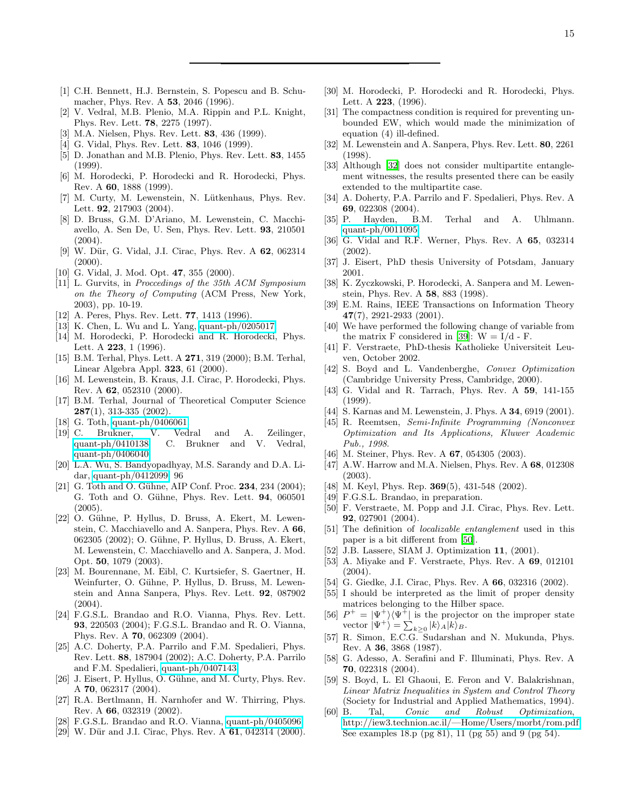- <span id="page-14-0"></span>[1] C.H. Bennett, H.J. Bernstein, S. Popescu and B. Schumacher, Phys. Rev. A 53, 2046 (1996).
- <span id="page-14-1"></span>V. Vedral, M.B. Plenio, M.A. Rippin and P.L. Knight, Phys. Rev. Lett. 78, 2275 (1997).
- <span id="page-14-2"></span>[3] M.A. Nielsen, Phys. Rev. Lett. 83, 436 (1999).
- <span id="page-14-3"></span>[4] G. Vidal, Phys. Rev. Lett. **83**, 1046 (1999).
- <span id="page-14-4"></span>[5] D. Jonathan and M.B. Plenio, Phys. Rev. Lett. 83, 1455 (1999).
- <span id="page-14-5"></span>[6] M. Horodecki, P. Horodecki and R. Horodecki, Phys. Rev. A 60, 1888 (1999).
- <span id="page-14-6"></span>[7] M. Curty, M. Lewenstein, N. Lütkenhaus, Phys. Rev. Lett. 92, 217903 (2004).
- <span id="page-14-7"></span>[8] D. Bruss, G.M. D'Ariano, M. Lewenstein, C. Macchiavello, A. Sen De, U. Sen, Phys. Rev. Lett. 93, 210501  $(2004)$ .
- <span id="page-14-8"></span>[9] W. Dür, G. Vidal, J.I. Cirac, Phys. Rev. A 62, 062314  $(2000).$
- [10] G. Vidal, J. Mod. Opt. 47, 355 (2000).
- <span id="page-14-10"></span><span id="page-14-9"></span>[11] L. Gurvits, in Proccedings of the 35th ACM Symposium on the Theory of Computing (ACM Press, New York, 2003), pp. 10-19.
- <span id="page-14-11"></span>[12] A. Peres, Phys. Rev. Lett. **77**, 1413 (1996).
- <span id="page-14-12"></span>[13] K. Chen, L. Wu and L. Yang, [quant-ph/0205017.](http://arxiv.org/abs/quant-ph/0205017)
- <span id="page-14-13"></span>[14] M. Horodecki, P. Horodecki and R. Horodecki, Phys. Lett. A 223, 1 (1996).
- <span id="page-14-14"></span>[15] B.M. Terhal, Phys. Lett. A **271**, 319 (2000); B.M. Terhal, Linear Algebra Appl. 323, 61 (2000).
- <span id="page-14-15"></span>[16] M. Lewenstein, B. Kraus, J.I. Cirac, P. Horodecki, Phys. Rev. A 62, 052310 (2000).
- <span id="page-14-16"></span>[17] B.M. Terhal, Journal of Theoretical Computer Science  $287(1)$ , 313-335 (2002).
- <span id="page-14-17"></span>[18] G. Toth, [quant-ph/0406061.](http://arxiv.org/abs/quant-ph/0406061)
- <span id="page-14-18"></span>[19] C. Brukner, V. Vedral and A. Zeilinger, [quant-ph/0410138;](http://arxiv.org/abs/quant-ph/0410138) C. Brukner and V. Vedral, [quant-ph/0406040.](http://arxiv.org/abs/quant-ph/0406040)
- <span id="page-14-19"></span>[20] L.A. Wu, S. Bandyopadhyay, M.S. Sarandy and D.A. Lidar, [quant-ph/0412099.](http://arxiv.org/abs/quant-ph/0412099) 96
- <span id="page-14-20"></span>[21] G. Toth and O. Gühne, AIP Conf. Proc.  $234$ ,  $234$  (2004); G. Toth and O. Gühne, Phys. Rev. Lett. **94**, 060501 (2005).
- <span id="page-14-21"></span>[22] O. Gühne, P. Hyllus, D. Bruss, A. Ekert, M. Lewenstein, C. Macchiavello and A. Sanpera, Phys. Rev. A 66, 062305 (2002); O. Gühne, P. Hyllus, D. Bruss, A. Ekert, M. Lewenstein, C. Macchiavello and A. Sanpera, J. Mod. Opt. 50, 1079 (2003).
- <span id="page-14-22"></span>[23] M. Bourennane, M. Eibl, C. Kurtsiefer, S. Gaertner, H. Weinfurter, O. Gühne, P. Hyllus, D. Bruss, M. Lewenstein and Anna Sanpera, Phys. Rev. Lett. 92, 087902  $(2004).$
- <span id="page-14-23"></span>[24] F.G.S.L. Brandao and R.O. Vianna, Phys. Rev. Lett. 93, 220503 (2004); F.G.S.L. Brandao and R. O. Vianna, Phys. Rev. A 70, 062309 (2004).
- <span id="page-14-24"></span>[25] A.C. Doherty, P.A. Parrilo and F.M. Spedalieri, Phys. Rev. Lett. 88, 187904 (2002); A.C. Doherty, P.A. Parrilo and F.M. Spedalieri, [quant-ph/0407143.](http://arxiv.org/abs/quant-ph/0407143)
- <span id="page-14-25"></span>[26] J. Eisert, P. Hyllus, O. Gühne, and M. Curty, Phys. Rev. A 70, 062317 (2004).
- <span id="page-14-26"></span>[27] R.A. Bertlmann, H. Narnhofer and W. Thirring, Phys. Rev. A 66, 032319 (2002).
- <span id="page-14-27"></span>[28] F.G.S.L. Brandao and R.O. Vianna, [quant-ph/0405096.](http://arxiv.org/abs/quant-ph/0405096)
- <span id="page-14-28"></span>[29] W. Dür and J.I. Cirac, Phys. Rev. A **61**, 042314 (2000).
- <span id="page-14-29"></span>[30] M. Horodecki, P. Horodecki and R. Horodecki, Phys. Lett. A 223, (1996).
- <span id="page-14-30"></span>[31] The compactness condition is required for preventing unbounded EW, which would made the minimization of equation (4) ill-defined.
- <span id="page-14-31"></span>[32] M. Lewenstein and A. Sanpera, Phys. Rev. Lett. 80, 2261 (1998).
- <span id="page-14-32"></span>[33] Although [\[32](#page-14-31)] does not consider multipartite entanglement witnesses, the results presented there can be easily extended to the multipartite case.
- <span id="page-14-33"></span>[34] A. Doherty, P.A. Parrilo and F. Spedalieri, Phys. Rev. A 69, 022308 (2004).
- <span id="page-14-34"></span>[35] P. Hayden, B.M. Terhal and A. Uhlmann. [quant-ph/0011095.](http://arxiv.org/abs/quant-ph/0011095)
- <span id="page-14-35"></span>[36] G. Vidal and R.F. Werner, Phys. Rev. A 65, 032314 (2002).
- <span id="page-14-36"></span>[37] J. Eisert, PhD thesis University of Potsdam, January 2001.
- <span id="page-14-37"></span>[38] K. Zyczkowski, P. Horodecki, A. Sanpera and M. Lewenstein, Phys. Rev. A 58, 883 (1998).
- <span id="page-14-38"></span>[39] E.M. Rains, IEEE Transactions on Information Theory 47(7), 2921-2933 (2001).
- <span id="page-14-39"></span>[40] We have performed the following change of variable from the matrix F considered in [\[39\]](#page-14-38):  $W = I/d - F$ .
- <span id="page-14-40"></span>[41] F. Verstraete, PhD-thesis Katholieke Universiteit Leuven, October 2002.
- <span id="page-14-41"></span>[42] S. Boyd and L. Vandenberghe, Convex Optimization (Cambridge University Press, Cambridge, 2000).
- <span id="page-14-42"></span>[43] G. Vidal and R. Tarrach, Phys. Rev. A 59, 141-155 (1999).
- <span id="page-14-43"></span>[44] S. Karnas and M. Lewenstein, J. Phys. A **34**, 6919 (2001).
- <span id="page-14-44"></span>[45] R. Reemtsen, Semi-Infinite Programming (Nonconvex Optimization and Its Applications, Kluwer Academic Pub., 1998.
- [46] M. Steiner, Phys. Rev. A **67**, 054305 (2003).
- <span id="page-14-45"></span>[47] A.W. Harrow and M.A. Nielsen, Phys. Rev. A 68, 012308 (2003).
- [48] M. Keyl, Phys. Rep. **369**(5), 431-548 (2002).
- <span id="page-14-46"></span>[49] F.G.S.L. Brandao, in preparation.
- <span id="page-14-47"></span>[50] F. Verstraete, M. Popp and J.I. Cirac, Phys. Rev. Lett. 92, 027901 (2004).
- <span id="page-14-48"></span>[51] The definition of localizable entanglement used in this paper is a bit different from [\[50](#page-14-47)].
- <span id="page-14-49"></span>[52] J.B. Lassere, SIAM J. Optimization  $11$ , (2001).<br>[53] A. Mivake and F. Verstraete, Phys. Rev. A  $69$
- <span id="page-14-50"></span>[53] A. Miyake and F. Verstraete, Phys. Rev. A 69, 012101 (2004).
- <span id="page-14-51"></span>[54] G. Giedke, J.I. Cirac, Phys. Rev. A 66, 032316 (2002).
- <span id="page-14-52"></span>[55] I should be interpreted as the limit of proper density matrices belonging to the Hilber space.
- <span id="page-14-53"></span> $[56]$  $+ = |\Psi^+\rangle\langle \Psi^+|$  is the projector on the improper state vector  $|\Psi^+\rangle = \sum_{k\geq 0} |k\rangle_A |k\rangle_B$ .
- <span id="page-14-54"></span>[57] R. Simon, E.C.G. Sudarshan and N. Mukunda, Phys. Rev. A 36, 3868 (1987).
- <span id="page-14-55"></span>[58] G. Adesso, A. Serafini and F. Illuminati, Phys. Rev. A 70, 022318 (2004).
- <span id="page-14-56"></span>[59] S. Boyd, L. El Ghaoui, E. Feron and V. Balakrishnan, Linear Matrix Inequalities in System and Control Theory (Society for Industrial and Applied Mathematics, 1994).
- <span id="page-14-57"></span>[60] B. Tal, Conic and Robust Optimization, [http://iew3.technion.ac.il/—Home/Users/morbt/rom.pdf.](http://iew3.technion.ac.il/|Home/Users/morbt/rom.pdf) See examples 18.p (pg 81), 11 (pg 55) and 9 (pg 54).